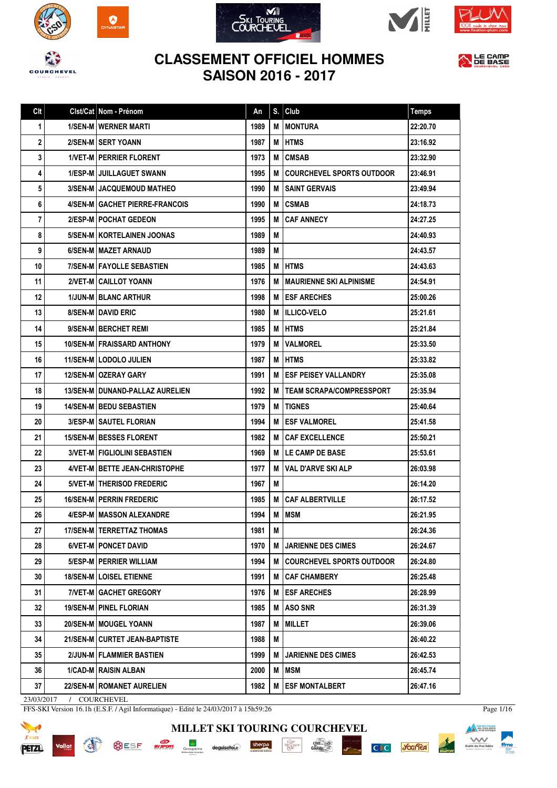

 $\sum_{NAST}$ 











| Clt        |          | Clst/Cat Nom - Prénom                    | An   | S. | Club                             | <b>Temps</b> |
|------------|----------|------------------------------------------|------|----|----------------------------------|--------------|
| 1          |          | <b>1/SEN-M I WERNER MARTI</b>            | 1989 | М  | <b>MONTURA</b>                   | 22:20.70     |
| 2          |          | 2/SEN-MISERT YOANN                       | 1987 | M  | IHTMS                            | 23:16.92     |
| 3          |          | <b>1/VET-M   PERRIER FLORENT</b>         | 1973 | М  | <b>CMSAB</b>                     | 23:32.90     |
| 4          |          | 1/ESP-M JUILLAGUET SWANN                 | 1995 | М  | <b>COURCHEVEL SPORTS OUTDOOR</b> | 23:46.91     |
| 5          |          | <b>3/SEN-MI JACQUEMOUD MATHEO</b>        | 1990 | М  | I SAINT GERVAIS                  | 23:49.94     |
| 6          |          | 4/SEN-M GACHET PIERRE-FRANCOIS           | 1990 | М  | <b>CSMAB</b>                     | 24:18.73     |
| 7          |          | 2/ESP-M POCHAT GEDEON                    | 1995 | М  | <b>CAF ANNECY</b>                | 24:27.25     |
| 8          |          | 5/SEN-M   KORTELAINEN JOONAS             | 1989 | M  |                                  | 24:40.93     |
| 9          |          | 6/SEN-M MAZET ARNAUD                     | 1989 | M  |                                  | 24:43.57     |
| 10         |          | 7/SEN-M   FAYOLLE SEBASTIEN              | 1985 | М  | IHTMS                            | 24:43.63     |
| 11         |          | 2/VET-M CAILLOT YOANN                    | 1976 | М  | I MAURIENNE SKI ALPINISME        | 24:54.91     |
| 12         |          | <b>1/JUN-M BLANC ARTHUR</b>              | 1998 |    | <b>M LESF ARECHES</b>            | 25:00.26     |
| 13         |          | 8/SEN-M DAVID ERIC                       | 1980 | М  | <b>IILLICO-VELO</b>              | 25:21.61     |
| 14         |          | 9/SEN-M BERCHET REMI                     | 1985 | M  | <b>HTMS</b>                      | 25:21.84     |
| 15         |          | 10/SEN-M   FRAISSARD ANTHONY             | 1979 | М  | <b>VALMOREL</b>                  | 25:33.50     |
| 16         |          | 11/SEN-M LODOLO JULIEN                   | 1987 | M  | <b>HTMS</b>                      | 25:33.82     |
| 17         |          | <b>12/SEN-M   OZERAY GARY</b>            | 1991 | М  | <b>IESF PEISEY VALLANDRY</b>     | 25:35.08     |
| 18         |          | <b>13/SEN-M   DUNAND-PALLAZ AURELIEN</b> | 1992 | М  | <b>ITEAM SCRAPA/COMPRESSPORT</b> | 25:35.94     |
| 19         |          | <b>14/SEN-M   BEDU SEBASTIEN</b>         | 1979 | М  | <b>TIGNES</b>                    | 25:40.64     |
| 20         |          | <b>3/ESP-M   SAUTEL FLORIAN</b>          | 1994 | М  | <b>ESF VALMOREL</b>              | 25:41.58     |
| 21         |          | 15/SEN-M   BESSES FLORENT                | 1982 | м  | <b>CAF EXCELLENCE</b>            | 25:50.21     |
| 22         |          | <b>3/VET-M   FIGLIOLINI SEBASTIEN</b>    | 1969 | М  | <b>LE CAMP DE BASE</b>           | 25:53.61     |
| 23         |          | 4/VET-M   BETTE JEAN-CHRISTOPHE          | 1977 | м  | VAL D'ARVE SKI ALP               | 26:03.98     |
| 24         |          | 5/VET-M THERISOD FREDERIC                | 1967 | M  |                                  | 26:14.20     |
| 25         |          | <b>16/SEN-M   PERRIN FREDERIC</b>        | 1985 | М  | <b>CAF ALBERTVILLE</b>           | 26:17.52     |
| 26         |          | 4/ESP-M MASSON ALEXANDRE                 | 1994 | М  | <b>IMSM</b>                      | 26:21.95     |
| 27         |          | 17/SEN-M   TERRETTAZ THOMAS              | 1981 | М  |                                  | 26:24.36     |
| 28         |          | 6/VET-M PONCET DAVID                     | 1970 | M  | <b>JARIENNE DES CIMES</b>        | 26:24.67     |
| 29         |          | 5/ESP-M   PERRIER WILLIAM                | 1994 | м  | <b>COURCHEVEL SPORTS OUTDOOR</b> | 26:24.80     |
| 30         |          | <b>18/SEN-M LOISEL ETIENNE</b>           | 1991 | М  | <b>CAF CHAMBERY</b>              | 26:25.48     |
| 31         |          | 7/VET-M GACHET GREGORY                   | 1976 | M  | <b>ESF ARECHES</b>               | 26:28.99     |
| 32         |          | 19/SEN-M   PINEL FLORIAN                 | 1985 | M  | ASO SNR                          | 26:31.39     |
| 33         |          | 20/SEN-M   MOUGEL YOANN                  | 1987 | М  | <b>MILLET</b>                    | 26:39.06     |
| 34         |          | 21/SEN-M CURTET JEAN-BAPTISTE            | 1988 | M  |                                  | 26:40.22     |
| 35         |          | 2/JUN-M FLAMMIER BASTIEN                 | 1999 | M  | <b>JARIENNE DES CIMES</b>        | 26:42.53     |
| 36         |          | 1/CAD-M RAISIN ALBAN                     | 2000 | M  | MSM                              | 26:45.74     |
| 37         |          | 22/SEN-M ROMANET AURELIEN                | 1982 | M  | <b>ESF MONTALBERT</b>            | 26:47.16     |
| 23/03/2017 | $\prime$ | COURCHEVEL                               |      |    |                                  |              |

**MILLET SKI TOURING COURCHEVEL**

 $\begin{array}{c}\stackrel{\text{Lap}}{\underset{\text{M-N}}{\text{AP}}} \text{Lap}\\\text{M-N} \text{Cay} \text{N}}\end{array}$ 

sherpa

deguisetoi.r

 $\frac{\text{chez}}{\text{Gauloig}}$ 

**PISTE NOIRE** 

C<sub>IC</sub> Scaller

FFS-SKI Version 16.1h (E.S.F. / Agil Informatique) - Edité le 24/03/2017 à 15h59:26

**EV SPORT:** Groupama

OESF



**SAFEAD SE** 

Vallat

Page 1/16

**Alexander School School Service School School Service School School Service School Service School Service School**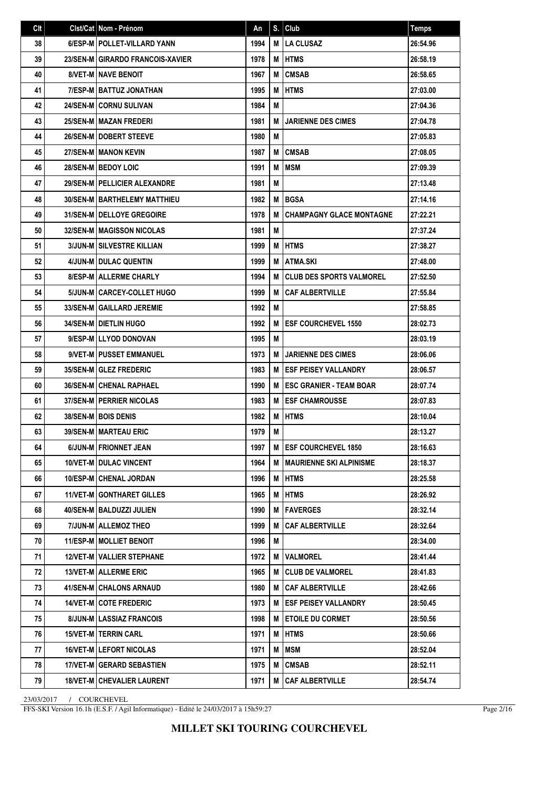| Clt | Clst/Cat   Nom - Prénom             | An   | S. | Club                              | <b>Temps</b> |
|-----|-------------------------------------|------|----|-----------------------------------|--------------|
| 38  | 6/ESP-M   POLLET-VILLARD YANN       | 1994 | М  | <b>LA CLUSAZ</b>                  | 26:54.96     |
| 39  | 23/SEN-M GIRARDO FRANCOIS-XAVIER    | 1978 | M  | <b>HTMS</b>                       | 26:58.19     |
| 40  | <b>8/VET-M I NAVE BENOIT</b>        | 1967 | М  | <b>CMSAB</b>                      | 26:58.65     |
| 41  | 7/ESP-M   BATTUZ JONATHAN           | 1995 | M  | <b>HTMS</b>                       | 27:03.00     |
| 42  | <b>24/SEN-MICORNU SULIVAN</b>       | 1984 | M  |                                   | 27:04.36     |
| 43  | 25/SEN-M MAZAN FREDERI              | 1981 | M  | <b>JARIENNE DES CIMES</b>         | 27:04.78     |
| 44  | 26/SEN-M   DOBERT STEEVE            | 1980 | M  |                                   | 27:05.83     |
| 45  | <b>27/SEN-M   MANON KEVIN</b>       | 1987 | M  | <b>CMSAB</b>                      | 27:08.05     |
| 46  | 28/SEN-M BEDOY LOIC                 | 1991 | M  | MSM                               | 27:09.39     |
| 47  | 29/SEN-M   PELLICIER ALEXANDRE      | 1981 | M  |                                   | 27:13.48     |
| 48  | <b>30/SEN-MIBARTHELEMY MATTHIEU</b> | 1982 | M  | l BGSA                            | 27:14.16     |
| 49  | 31/SEN-M DELLOYE GREGOIRE           | 1978 | M  | <b>CHAMPAGNY GLACE MONTAGNE</b>   | 27:22.21     |
| 50  | <b>32/SEN-M MAGISSON NICOLAS</b>    | 1981 | M  |                                   | 27:37.24     |
| 51  | <b>3/JUN-M SILVESTRE KILLIAN</b>    | 1999 | M  | <b>IHTMS</b>                      | 27:38.27     |
| 52  | <b>4/JUN-M I DULAC QUENTIN</b>      | 1999 | M  | <b>ATMA.SKI</b>                   | 27:48.00     |
| 53  | <b>8/ESP-M   ALLERME CHARLY</b>     | 1994 | М  | <b>CLUB DES SPORTS VALMOREL</b>   | 27:52.50     |
| 54  | 5/JUN-M CARCEY-COLLET HUGO          | 1999 | M  | <b>CAF ALBERTVILLE</b>            | 27:55.84     |
| 55  | 33/SEN-M GAILLARD JEREMIE           | 1992 | M  |                                   | 27:58.85     |
| 56  | <b>34/SEN-M   DIETLIN HUGO</b>      | 1992 | M  | <b>ESF COURCHEVEL 1550</b>        | 28:02.73     |
| 57  | 9/ESP-M LLYOD DONOVAN               | 1995 | M  |                                   | 28:03.19     |
| 58  | 9/VET-M PUSSET EMMANUEL             | 1973 | M  | <b>JARIENNE DES CIMES</b>         | 28:06.06     |
| 59  | 35/SEN-M GLEZ FREDERIC              | 1983 | M  | <b>ESF PEISEY VALLANDRY</b>       | 28:06.57     |
| 60  | <b>36/SEN-M CHENAL RAPHAEL</b>      | 1990 | M  | <b>ESC GRANIER - TEAM BOAR</b>    | 28:07.74     |
| 61  | <b>37/SEN-M   PERRIER NICOLAS</b>   | 1983 | M  | <b>ESF CHAMROUSSE</b>             | 28:07.83     |
| 62  | <b>38/SEN-MIBOIS DENIS</b>          | 1982 | М  | <b>HTMS</b>                       | 28:10.04     |
| 63  | 39/SEN-M   MARTEAU ERIC             | 1979 | M  |                                   | 28:13.27     |
| 64  | 6/JUN-M FRIONNET JEAN               | 1997 |    | M <b>IESF COURCHEVEL 1850</b>     | 28:16.63     |
| 65  | <b>10/VET-M   DULAC VINCENT</b>     | 1964 |    | <b>M IMAURIENNE SKI ALPINISME</b> | 28:18.37     |
| 66  | 10/ESP-M CHENAL JORDAN              | 1996 | M  | HTMS                              | 28:25.58     |
| 67  | <b>11/VET-M GONTHARET GILLES</b>    | 1965 | M  | <b>IHTMS</b>                      | 28:26.92     |
| 68  | 40/SEN-M   BALDUZZI JULIEN          | 1990 | M  | <b>FAVERGES</b>                   | 28:32.14     |
| 69  | 7/JUN-M ALLEMOZ THEO                | 1999 | M  | <b>CAF ALBERTVILLE</b>            | 28:32.64     |
| 70  | 11/ESP-M   MOLLIET BENOIT           | 1996 | M  |                                   | 28:34.00     |
| 71  | <b>12/VET-M   VALLIER STEPHANE</b>  | 1972 | M  | <b>VALMOREL</b>                   | 28:41.44     |
| 72  | 13/VET-M ALLERME ERIC               | 1965 | M  | <b>CLUB DE VALMOREL</b>           | 28:41.83     |
| 73  | 41/SEN-M CHALONS ARNAUD             | 1980 | M  | <b>CAF ALBERTVILLE</b>            | 28:42.66     |
| 74  | <b>14/VET-M COTE FREDERIC</b>       | 1973 | м  | <b>ESF PEISEY VALLANDRY</b>       | 28:50.45     |
| 75  | 8/JUN-M LASSIAZ FRANCOIS            | 1998 | м  | <b>ETOILE DU CORMET</b>           | 28:50.56     |
| 76  | <b>15/VET-M   TERRIN CARL</b>       | 1971 | M  | HTMS                              | 28:50.66     |
| 77  | 16/VET-M LEFORT NICOLAS             | 1971 | M  | <b>MSM</b>                        | 28:52.04     |
| 78  | <b>17/VET-M   GERARD SEBASTIEN</b>  | 1975 | M  | <b>CMSAB</b>                      | 28:52.11     |
| 79  | <b>18/VET-M   CHEVALIER LAURENT</b> | 1971 | M  | <b>CAF ALBERTVILLE</b>            | 28:54.74     |

FFS-SKI Version 16.1h (E.S.F. / Agil Informatique) - Edité le 24/03/2017 à 15h59:27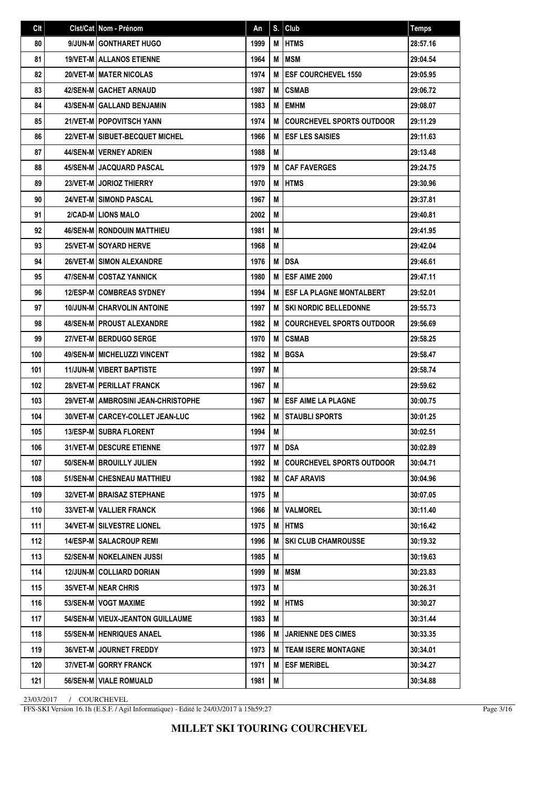| Clt | Clst/Cat   Nom - Prénom             | An   | S. | Club                             | <b>Temps</b> |
|-----|-------------------------------------|------|----|----------------------------------|--------------|
| 80  | 9/JUN-M GONTHARET HUGO              | 1999 | М  | <b>HTMS</b>                      | 28:57.16     |
| 81  | <b>19/VET-M ALLANOS ETIENNE</b>     | 1964 | M  | <b>MSM</b>                       | 29:04.54     |
| 82  | <b>20/VET-M I MATER NICOLAS</b>     | 1974 | М  | <b>ESF COURCHEVEL 1550</b>       | 29:05.95     |
| 83  | 42/SEN-M GACHET ARNAUD              | 1987 | M  | <b>CSMAB</b>                     | 29:06.72     |
| 84  | <b>43/SEN-M GALLAND BENJAMIN</b>    | 1983 | М  | <b>EMHM</b>                      | 29:08.07     |
| 85  | <b>21/VET-M POPOVITSCH YANN</b>     | 1974 | M  | <b>COURCHEVEL SPORTS OUTDOOR</b> | 29:11.29     |
| 86  | 22/VET-M SIBUET-BECQUET MICHEL      | 1966 | M  | <b>ESF LES SAISIES</b>           | 29:11.63     |
| 87  | 44/SEN-M   VERNEY ADRIEN            | 1988 | М  |                                  | 29:13.48     |
| 88  | 45/SEN-M JACQUARD PASCAL            | 1979 | M  | <b>CAF FAVERGES</b>              | 29:24.75     |
| 89  | 23/VET-M JORIOZ THIERRY             | 1970 | M  | <b>HTMS</b>                      | 29:30.96     |
| 90  | 24/VET-M SIMOND PASCAL              | 1967 | M  |                                  | 29:37.81     |
| 91  | 2/CAD-MILIONS MALO                  | 2002 | M  |                                  | 29:40.81     |
| 92  | <b>46/SEN-M   RONDOUIN MATTHIEU</b> | 1981 | М  |                                  | 29:41.95     |
| 93  | <b>25/VET-MISOYARD HERVE</b>        | 1968 | М  |                                  | 29:42.04     |
| 94  | <b>26/VET-M I SIMON ALEXANDRE</b>   | 1976 | M  | DSA                              | 29:46.61     |
| 95  | 47/SEN-M COSTAZ YANNICK             | 1980 | М  | ESF AIME 2000                    | 29:47.11     |
| 96  | <b>12/ESP-M COMBREAS SYDNEY</b>     | 1994 | М  | <b>ESF LA PLAGNE MONTALBERT</b>  | 29:52.01     |
| 97  | <b>10/JUN-M CHARVOLIN ANTOINE</b>   | 1997 | М  | <b>SKI NORDIC BELLEDONNE</b>     | 29:55.73     |
| 98  | <b>48/SEN-M   PROUST ALEXANDRE</b>  | 1982 | M  | <b>COURCHEVEL SPORTS OUTDOOR</b> | 29:56.69     |
| 99  | 27/VET-M BERDUGO SERGE              | 1970 | M  | <b>CSMAB</b>                     | 29:58.25     |
| 100 | 49/SEN-M   MICHELUZZI VINCENT       | 1982 | М  | <b>BGSA</b>                      | 29:58.47     |
| 101 | 11/JUN-M   VIBERT BAPTISTE          | 1997 | М  |                                  | 29:58.74     |
| 102 | 28/VET-M   PERILLAT FRANCK          | 1967 | М  |                                  | 29:59.62     |
| 103 | 29/VET-M AMBROSINI JEAN-CHRISTOPHE  | 1967 | М  | <b>ESF AIME LA PLAGNE</b>        | 30:00.75     |
| 104 | 30/VET-M CARCEY-COLLET JEAN-LUC     | 1962 | М  | <b>STAUBLI SPORTS</b>            | 30:01.25     |
| 105 | 13/ESP-M SUBRA FLORENT              | 1994 | M  |                                  | 30:02.51     |
| 106 | 31/VET-M   DESCURE ETIENNE          | 1977 | M  | <b>DSA</b>                       | 30:02.89     |
| 107 | 50/SEN-MIBROUILLY JULIEN            | 1992 | М  | <b>COURCHEVEL SPORTS OUTDOOR</b> | 30:04.71     |
| 108 | 51/SEN-M CHESNEAU MATTHIEU          | 1982 | М  | <b>CAF ARAVIS</b>                | 30:04.96     |
| 109 | <b>32/VET-M BRAISAZ STEPHANE</b>    | 1975 | M  |                                  | 30:07.05     |
| 110 | <b>33/VET-M   VALLIER FRANCK</b>    | 1966 | M  | <b>VALMOREL</b>                  | 30:11.40     |
| 111 | <b>34/VET-M   SILVESTRE LIONEL</b>  | 1975 | M  | <b>IHTMS</b>                     | 30:16.42     |
| 112 | <b>14/ESP-M   SALACROUP REMI</b>    | 1996 | м  | <b>SKI CLUB CHAMROUSSE</b>       | 30:19.32     |
| 113 | 52/SEN-M I NOKELAINEN JUSSI         | 1985 | М  |                                  | 30:19.63     |
| 114 | 12/JUN-M COLLIARD DORIAN            | 1999 | M  | MSM                              | 30:23.83     |
| 115 | 35/VET-M NEAR CHRIS                 | 1973 | M  |                                  | 30:26.31     |
| 116 | 53/SEN-M   VOGT MAXIME              | 1992 | M  | <b>HTMS</b>                      | 30:30.27     |
| 117 | 54/SEN-M   VIEUX-JEANTON GUILLAUME  | 1983 | M  |                                  | 30:31.44     |
| 118 | 55/SEN-M   HENRIQUES ANAEL          | 1986 | M  | <b>JARIENNE DES CIMES</b>        | 30:33.35     |
| 119 | 36/VET-M JOURNET FREDDY             | 1973 | M  | <b>TEAM ISERE MONTAGNE</b>       | 30:34.01     |
| 120 | <b>37/VET-M   GORRY FRANCK</b>      | 1971 | M  | <b>ESF MERIBEL</b>               | 30:34.27     |
| 121 | 56/SEN-M VIALE ROMUALD              | 1981 | M  |                                  | 30:34.88     |

FFS-SKI Version 16.1h (E.S.F. / Agil Informatique) - Edité le 24/03/2017 à 15h59:27

Page 3/16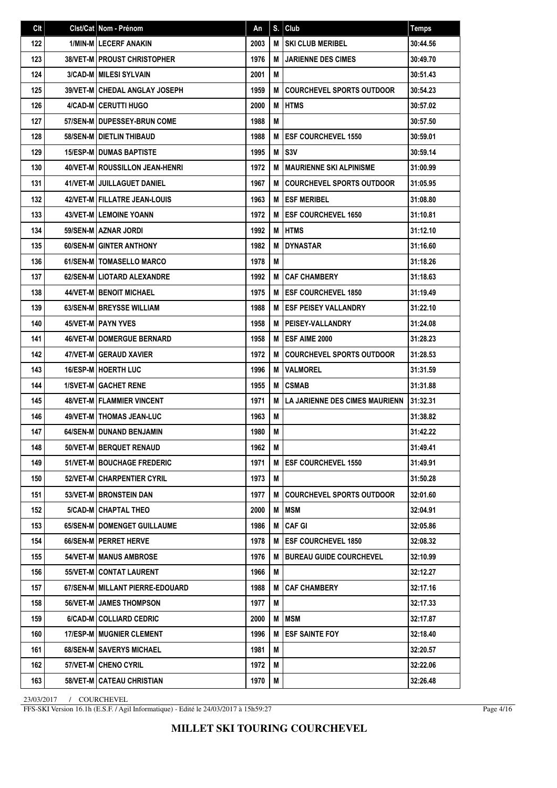| Clt | Clst/Cat   Nom - Prénom              | An   | S. | Club                             | <b>Temps</b> |
|-----|--------------------------------------|------|----|----------------------------------|--------------|
| 122 | 1/MIN-M LECERF ANAKIN                | 2003 | M  | <b>SKI CLUB MERIBEL</b>          | 30:44.56     |
| 123 | <b>38/VET-MIPROUST CHRISTOPHER</b>   | 1976 | M  | <b>JARIENNE DES CIMES</b>        | 30:49.70     |
| 124 | <b>3/CAD-M   MILESI SYLVAIN</b>      | 2001 | M  |                                  | 30:51.43     |
| 125 | <b>39/VET-M CHEDAL ANGLAY JOSEPH</b> | 1959 | M  | <b>COURCHEVEL SPORTS OUTDOOR</b> | 30:54.23     |
| 126 | 4/CAD-M CERUTTI HUGO                 | 2000 | M  | <b>HTMS</b>                      | 30:57.02     |
| 127 | 57/SEN-M I DUPESSEY-BRUN COME        | 1988 | M  |                                  | 30:57.50     |
| 128 | 58/SEN-M   DIETLIN THIBAUD           | 1988 | M  | <b>ESF COURCHEVEL 1550</b>       | 30:59.01     |
| 129 | <b>15/ESP-MIDUMAS BAPTISTE</b>       | 1995 | М  | S <sub>3V</sub>                  | 30:59.14     |
| 130 | 40/VET-M ROUSSILLON JEAN-HENRI       | 1972 | M  | <b>MAURIENNE SKI ALPINISME</b>   | 31:00.99     |
| 131 | 41/VET-M I JUILLAGUET DANIEL         | 1967 | M  | <b>COURCHEVEL SPORTS OUTDOOR</b> | 31:05.95     |
| 132 | 42/VET-M   FILLATRE JEAN-LOUIS       | 1963 | M  | <b>ESF MERIBEL</b>               | 31:08.80     |
| 133 | <b>43/VET-M LEMOINE YOANN</b>        | 1972 | M  | <b>ESF COURCHEVEL 1650</b>       | 31:10.81     |
| 134 | 59/SEN-M AZNAR JORDI                 | 1992 | M  | <b>HTMS</b>                      | 31:12.10     |
| 135 | <b>60/SEN-MIGINTER ANTHONY</b>       | 1982 | M  | <b>DYNASTAR</b>                  | 31:16.60     |
| 136 | <b>61/SEN-M   TOMASELLO MARCO</b>    | 1978 | M  |                                  | 31:18.26     |
| 137 | 62/SEN-MILIOTARD ALEXANDRE           | 1992 | M  | <b>CAF CHAMBERY</b>              | 31:18.63     |
| 138 | <b>44/VET-M   BENOIT MICHAEL</b>     | 1975 | M  | <b>ESF COURCHEVEL 1850</b>       | 31:19.49     |
| 139 | 63/SEN-M BREYSSE WILLIAM             | 1988 | M  | <b>ESF PEISEY VALLANDRY</b>      | 31:22.10     |
| 140 | <b>45/VET-MIPAYN YVES</b>            | 1958 | M  | PEISEY-VALLANDRY                 | 31:24.08     |
| 141 | <b>46/VET-M   DOMERGUE BERNARD</b>   | 1958 | M  | <b>ESF AIME 2000</b>             | 31:28.23     |
| 142 | <b>47/VET-M GERAUD XAVIER</b>        | 1972 | M  | <b>COURCHEVEL SPORTS OUTDOOR</b> | 31:28.53     |
| 143 | <b>16/ESP-MIHOERTH LUC</b>           | 1996 | M  | <b>VALMOREL</b>                  | 31:31.59     |
| 144 | <b>1/SVET-M GACHET RENE</b>          | 1955 | M  | <b>CSMAB</b>                     | 31:31.88     |
| 145 | <b>48/VET-M   FLAMMIER VINCENT</b>   | 1971 | M  | LA JARIENNE DES CIMES MAURIENN   | 31:32.31     |
| 146 | <b>49/VET-M   THOMAS JEAN-LUC</b>    | 1963 | М  |                                  | 31:38.82     |
| 147 | 64/SEN-M   DUNAND BENJAMIN           | 1980 | M  |                                  | 31:42.22     |
| 148 | 50/VET-M BERQUET RENAUD              | 1962 | M  |                                  | 31:49.41     |
| 149 | 51/VET-M   BOUCHAGE FREDERIC         | 1971 | M  | <b>ESF COURCHEVEL 1550</b>       | 31:49.91     |
| 150 | 52/VET-M CHARPENTIER CYRIL           | 1973 | M  |                                  | 31:50.28     |
| 151 | 53/VET-M BRONSTEIN DAN               | 1977 | М  | <b>COURCHEVEL SPORTS OUTDOOR</b> | 32:01.60     |
| 152 | 5/CAD-M CHAPTAL THEO                 | 2000 | M  | <b>MSM</b>                       | 32:04.91     |
| 153 | 65/SEN-M I DOMENGET GUILLAUME        | 1986 | M  | <b>CAF GI</b>                    | 32:05.86     |
| 154 | 66/SEN-M   PERRET HERVE              | 1978 | м  | <b>ESF COURCHEVEL 1850</b>       | 32:08.32     |
| 155 | <b>54/VET-M MANUS AMBROSE</b>        | 1976 | M  | <b>BUREAU GUIDE COURCHEVEL</b>   | 32:10.99     |
| 156 | 55/VET-M CONTAT LAURENT              | 1966 | M  |                                  | 32:12.27     |
| 157 | 67/SEN-M   MILLANT PIERRE-EDOUARD    | 1988 | M  | <b>CAF CHAMBERY</b>              | 32:17.16     |
| 158 | <b>56/VET-M   JAMES THOMPSON</b>     | 1977 | M  |                                  | 32:17.33     |
| 159 | 6/CAD-M COLLIARD CEDRIC              | 2000 | M  | <b>MSM</b>                       | 32:17.87     |
| 160 | 17/ESP-M   MUGNIER CLEMENT           | 1996 | M  | <b>ESF SAINTE FOY</b>            | 32:18.40     |
| 161 | 68/SEN-M SAVERYS MICHAEL             | 1981 | M  |                                  | 32:20.57     |
| 162 | 57/VET-M   CHENO CYRIL               | 1972 | M  |                                  | 32:22.06     |
| 163 | 58/VET-M CATEAU CHRISTIAN            | 1970 | M  |                                  | 32:26.48     |

FFS-SKI Version 16.1h (E.S.F. / Agil Informatique) - Edité le 24/03/2017 à 15h59:27

Page 4/16

## **MILLET SKI TOURING COURCHEVEL**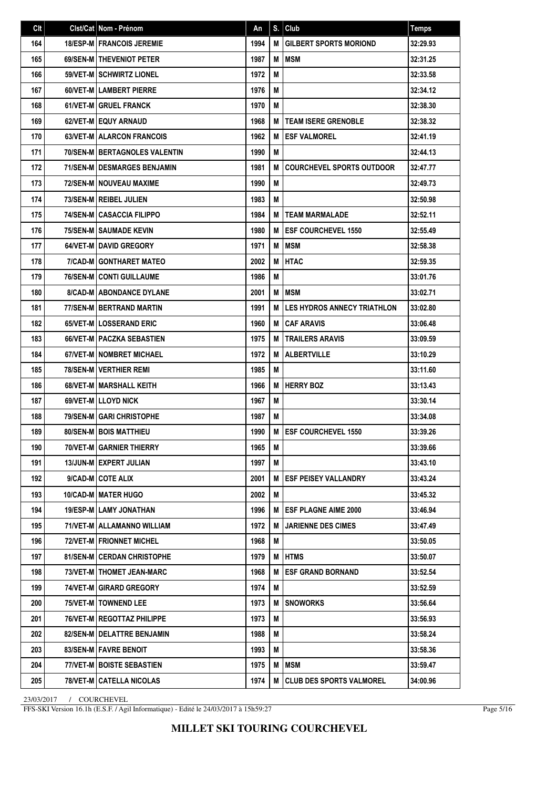| Clt | Clst/Cat Nom - Prénom                  | An   | S. | Club                               | <b>Temps</b> |
|-----|----------------------------------------|------|----|------------------------------------|--------------|
| 164 | <b>18/ESP-M   FRANCOIS JEREMIE</b>     | 1994 | M  | <b>GILBERT SPORTS MORIOND</b>      | 32:29.93     |
| 165 | 69/SEN-M THEVENIOT PETER               | 1987 | M  | <b>MSM</b>                         | 32:31.25     |
| 166 | <b>59/VET-M SCHWIRTZ LIONEL</b>        | 1972 | M  |                                    | 32:33.58     |
| 167 | 60/VET-M LAMBERT PIERRE                | 1976 | M  |                                    | 32:34.12     |
| 168 | <b>61/VET-M GRUEL FRANCK</b>           | 1970 | М  |                                    | 32:38.30     |
| 169 | 62/VET-M EQUY ARNAUD                   | 1968 | M  | <b>TEAM ISERE GRENOBLE</b>         | 32:38.32     |
| 170 | 63/VET-M ALARCON FRANCOIS              | 1962 | M  | <b>ESF VALMOREL</b>                | 32:41.19     |
| 171 | <b>70/SEN-M   BERTAGNOLES VALENTIN</b> | 1990 | М  |                                    | 32:44.13     |
| 172 | <b>71/SEN-M I DESMARGES BENJAMIN</b>   | 1981 | M  | <b>COURCHEVEL SPORTS OUTDOOR</b>   | 32:47.77     |
| 173 | <b>72/SEN-M I NOUVEAU MAXIME</b>       | 1990 | M  |                                    | 32:49.73     |
| 174 | 73/SEN-M   REIBEL JULIEN               | 1983 | M  |                                    | 32:50.98     |
| 175 | <b>74/SEN-M CASACCIA FILIPPO</b>       | 1984 | M  | <b>TEAM MARMALADE</b>              | 32:52.11     |
| 176 | 75/SEN-M SAUMADE KEVIN                 | 1980 | M  | <b>ESF COURCHEVEL 1550</b>         | 32:55.49     |
| 177 | 64/VET-M DAVID GREGORY                 | 1971 | M  | <b>MSM</b>                         | 32:58.38     |
| 178 | 7/CAD-M GONTHARET MATEO                | 2002 | M  | <b>HTAC</b>                        | 32:59.35     |
| 179 | <b>76/SEN-M CONTI GUILLAUME</b>        | 1986 | M  |                                    | 33:01.76     |
| 180 | <b>8/CAD-M ABONDANCE DYLANE</b>        | 2001 | M  | <b>MSM</b>                         | 33:02.71     |
| 181 | 77/SEN-M BERTRAND MARTIN               | 1991 | M  | <b>LES HYDROS ANNECY TRIATHLON</b> | 33:02.80     |
| 182 | <b>65/VET-MILOSSERAND ERIC</b>         | 1960 | M  | <b>CAF ARAVIS</b>                  | 33:06.48     |
| 183 | 66/VET-M   PACZKA SEBASTIEN            | 1975 | M  | <b>TRAILERS ARAVIS</b>             | 33:09.59     |
| 184 | 67/VET-M I NOMBRET MICHAEL             | 1972 | M  | <b>ALBERTVILLE</b>                 | 33:10.29     |
| 185 | 78/SEN-M   VERTHIER REMI               | 1985 | M  |                                    | 33:11.60     |
| 186 | 68/VET-M   MARSHALL KEITH              | 1966 | M  | <b>HERRY BOZ</b>                   | 33:13.43     |
| 187 | 69/VET-M LLOYD NICK                    | 1967 | M  |                                    | 33:30.14     |
| 188 | 79/SEN-M GARI CHRISTOPHE               | 1987 | М  |                                    | 33:34.08     |
| 189 | 80/SEN-M BOIS MATTHIEU                 | 1990 | M  | <b>ESF COURCHEVEL 1550</b>         | 33:39.26     |
| 190 | 70/VET-M GARNIER THIERRY               | 1965 | M  |                                    | 33:39.66     |
| 191 | 13/JUN-M EXPERT JULIAN                 | 1997 | M  |                                    | 33:43.10     |
| 192 | 9/CAD-M COTE ALIX                      | 2001 | М  | <b>ESF PEISEY VALLANDRY</b>        | 33:43.24     |
| 193 | <b>10/CAD-MIMATER HUGO</b>             | 2002 | M  |                                    | 33:45.32     |
| 194 | <b>19/ESP-M LAMY JONATHAN</b>          | 1996 | M  | <b>ESF PLAGNE AIME 2000</b>        | 33:46.94     |
| 195 | 71/VET-M   ALLAMANNO WILLIAM           | 1972 | M  | <b>JARIENNE DES CIMES</b>          | 33:47.49     |
| 196 | 72/VET-M   FRIONNET MICHEL             | 1968 | M  |                                    | 33:50.05     |
| 197 | <b>81/SEN-M CERDAN CHRISTOPHE</b>      | 1979 | М  | <b>HTMS</b>                        | 33:50.07     |
| 198 | 73/VET-M   THOMET JEAN-MARC            | 1968 | M  | <b>ESF GRAND BORNAND</b>           | 33:52.54     |
| 199 | 74/VET-M GIRARD GREGORY                | 1974 | M  |                                    | 33:52.59     |
| 200 | 75/VET-M   TOWNEND LEE                 | 1973 | M  | <b>SNOWORKS</b>                    | 33:56.64     |
| 201 | <b>76/VET-M   REGOTTAZ PHILIPPE</b>    | 1973 | M  |                                    | 33:56.93     |
| 202 | 82/SEN-M   DELATTRE BENJAMIN           | 1988 | M  |                                    | 33:58.24     |
| 203 | 83/SEN-M   FAVRE BENOIT                | 1993 | M  |                                    | 33:58.36     |
| 204 | 77/VET-M   BOISTE SEBASTIEN            | 1975 | M  | MSM                                | 33:59.47     |
| 205 | 78/VET-M CATELLA NICOLAS               | 1974 | M  | <b>CLUB DES SPORTS VALMOREL</b>    | 34:00.96     |

FFS-SKI Version 16.1h (E.S.F. / Agil Informatique) - Edité le 24/03/2017 à 15h59:27

Page 5/16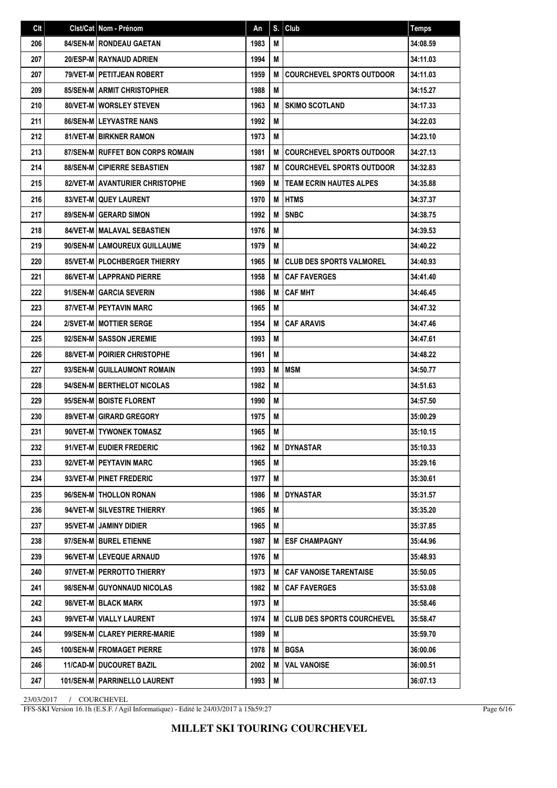| Clt | Cist/Cat   Nom - Prénom              | An   | S. | Club                              | <b>Temps</b> |
|-----|--------------------------------------|------|----|-----------------------------------|--------------|
| 206 | 84/SEN-M   RONDEAU GAETAN            | 1983 | М  |                                   | 34:08.59     |
| 207 | 20/ESP-M   RAYNAUD ADRIEN            | 1994 | М  |                                   | 34:11.03     |
| 207 | 79/VET-M   PETITJEAN ROBERT          | 1959 | M  | <b>COURCHEVEL SPORTS OUTDOOR</b>  | 34:11.03     |
| 209 | 85/SEN-M ARMIT CHRISTOPHER           | 1988 | M  |                                   | 34:15.27     |
| 210 | 80/VET-M WORSLEY STEVEN              | 1963 | М  | <b>SKIMO SCOTLAND</b>             | 34:17.33     |
| 211 | <b>86/SEN-MILEYVASTRE NANS</b>       | 1992 | М  |                                   | 34:22.03     |
| 212 | <b>81/VET-M BIRKNER RAMON</b>        | 1973 | М  |                                   | 34:23.10     |
| 213 | 87/SEN-M RUFFET BON CORPS ROMAIN     | 1981 | M  | <b>COURCHEVEL SPORTS OUTDOOR</b>  | 34:27.13     |
| 214 | <b>88/SEN-M CIPIERRE SEBASTIEN</b>   | 1987 | M  | <b>COURCHEVEL SPORTS OUTDOOR</b>  | 34:32.83     |
| 215 | 82/VET-M AVANTURIER CHRISTOPHE       | 1969 | M  | <b>TEAM ECRIN HAUTES ALPES</b>    | 34:35.88     |
| 216 | 83/VET-M QUEY LAURENT                | 1970 | М  | <b>HTMS</b>                       | 34:37.37     |
| 217 | 89/SEN-M GERARD SIMON                | 1992 | M  | <b>SNBC</b>                       | 34:38.75     |
| 218 | <b>84/VET-M   MALAVAL SEBASTIEN</b>  | 1976 | М  |                                   | 34:39.53     |
| 219 | 90/SEN-M LAMOUREUX GUILLAUME         | 1979 | М  |                                   | 34:40.22     |
| 220 | 85/VET-M   PLOCHBERGER THIERRY       | 1965 | М  | <b>CLUB DES SPORTS VALMOREL</b>   | 34:40.93     |
| 221 | 86/VET-M LAPPRAND PIERRE             | 1958 | М  | <b>CAF FAVERGES</b>               | 34:41.40     |
| 222 | 91/SEN-M GARCIA SEVERIN              | 1986 | M  | <b>CAF MHT</b>                    | 34:46.45     |
| 223 | <b>87/VET-M PEYTAVIN MARC</b>        | 1965 | М  |                                   | 34:47.32     |
| 224 | 2/SVET-M   MOTTIER SERGE             | 1954 | M  | <b>CAF ARAVIS</b>                 | 34:47.46     |
| 225 | 92/SEN-M SASSON JEREMIE              | 1993 | М  |                                   | 34:47.61     |
| 226 | <b>88/VET-M   POIRIER CHRISTOPHE</b> | 1961 | М  |                                   | 34:48.22     |
| 227 | 93/SEN-M GUILLAUMONT ROMAIN          | 1993 | М  | <b>MSM</b>                        | 34:50.77     |
| 228 | 94/SEN-M BERTHELOT NICOLAS           | 1982 | М  |                                   | 34:51.63     |
| 229 | 95/SEN-M BOISTE FLORENT              | 1990 | М  |                                   | 34:57.50     |
| 230 | 89/VET-M GIRARD GREGORY              | 1975 | M  |                                   | 35:00.29     |
| 231 | 90/VET-M I TYWONEK TOMASZ            | 1965 | М  |                                   | 35:10.15     |
| 232 | 91/VET-M   EUDIER FREDERIC           | 1962 | M  | <b>IDYNASTAR</b>                  | 35:10.33     |
| 233 | 92/VET-M   PEYTAVIN MARC             | 1965 | M  |                                   | 35:29.16     |
| 234 | 93/VET-M   PINET FREDERIC            | 1977 | M  |                                   | 35:30.61     |
| 235 | 96/SEN-M   THOLLON RONAN             | 1986 | M  | <b>DYNASTAR</b>                   | 35:31.57     |
| 236 | 94/VET-M SILVESTRE THIERRY           | 1965 | M  |                                   | 35:35.20     |
| 237 | 95/VET-M JAMINY DIDIER               | 1965 | M  |                                   | 35:37.85     |
| 238 | 97/SEN-M   BUREL ETIENNE             | 1987 | M  | <b>ESF CHAMPAGNY</b>              | 35:44.96     |
| 239 | 96/VET-M LEVEQUE ARNAUD              | 1976 | M  |                                   | 35:48.93     |
| 240 | 97/VET-M PERROTTO THIERRY            | 1973 | м  | <b>CAF VANOISE TARENTAISE</b>     | 35:50.05     |
| 241 | 98/SEN-MIGUYONNAUD NICOLAS           | 1982 | M  | <b>CAF FAVERGES</b>               | 35:53.08     |
| 242 | 98/VET-M   BLACK MARK                | 1973 | M  |                                   | 35:58.46     |
| 243 | 99/VET-M   VIALLY LAURENT            | 1974 | М  | <b>CLUB DES SPORTS COURCHEVEL</b> | 35:58.47     |
| 244 | 99/SEN-M CLAREY PIERRE-MARIE         | 1989 | M  |                                   | 35:59.70     |
| 245 | <b>100/SEN-MIFROMAGET PIERRE</b>     | 1978 | M  | <b>BGSA</b>                       | 36:00.06     |
| 246 | <b>11/CAD-M   DUCOURET BAZIL</b>     | 2002 | M  | <b>VAL VANOISE</b>                | 36:00.51     |
| 247 | 101/SEN-M   PARRINELLO LAURENT       | 1993 | M  |                                   | 36:07.13     |

FFS-SKI Version 16.1h (E.S.F. / Agil Informatique) - Edité le 24/03/2017 à 15h59:27

Page 6/16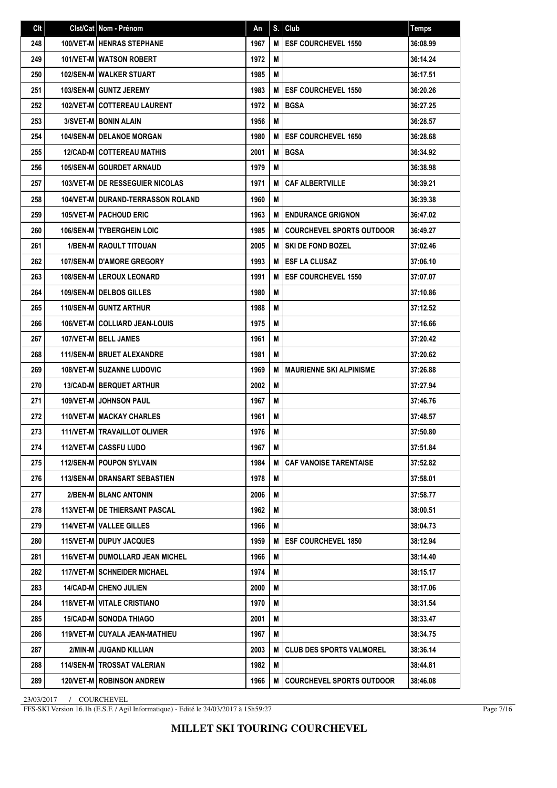| Clt | Clst/Cat Nom - Prénom                      | An   | S. | Club                             | <b>Temps</b> |
|-----|--------------------------------------------|------|----|----------------------------------|--------------|
| 248 | <b>100/VET-M HENRAS STEPHANE</b>           | 1967 | M  | <b>ESF COURCHEVEL 1550</b>       | 36:08.99     |
| 249 | <b>101/VET-M I WATSON ROBERT</b>           | 1972 | M  |                                  | 36:14.24     |
| 250 | <b>102/SEN-M   WALKER STUART</b>           | 1985 | M  |                                  | 36:17.51     |
| 251 | 103/SEN-M GUNTZ JEREMY                     | 1983 | М  | <b>ESF COURCHEVEL 1550</b>       | 36:20.26     |
| 252 | 102/VET-M COTTEREAU LAURENT                | 1972 | M  | <b>BGSA</b>                      | 36:27.25     |
| 253 | 3/SVET-M BONIN ALAIN                       | 1956 | M  |                                  | 36:28.57     |
| 254 | <b>104/SEN-M   DELANOE MORGAN</b>          | 1980 | M  | <b>ESF COURCHEVEL 1650</b>       | 36:28.68     |
| 255 | <b>12/CAD-M COTTEREAU MATHIS</b>           | 2001 | М  | <b>BGSA</b>                      | 36:34.92     |
| 256 | 105/SEN-M   GOURDET ARNAUD                 | 1979 | M  |                                  | 36:38.98     |
| 257 | <b>103/VET-M IDE RESSEGUIER NICOLAS</b>    | 1971 | M  | <b>CAF ALBERTVILLE</b>           | 36:39.21     |
| 258 | <b>104/VET-M I DURAND-TERRASSON ROLAND</b> | 1960 | M  |                                  | 36:39.38     |
| 259 | <b>105/VET-M   PACHOUD ERIC</b>            | 1963 | M  | <b>ENDURANCE GRIGNON</b>         | 36:47.02     |
| 260 | <b>106/SEN-MITYBERGHEIN LOIC</b>           | 1985 | M  | <b>COURCHEVEL SPORTS OUTDOOR</b> | 36:49.27     |
| 261 | <b>1/BEN-M   RAOULT TITOUAN</b>            | 2005 | M  | <b>SKI DE FOND BOZEL</b>         | 37:02.46     |
| 262 | <b>107/SEN-MID'AMORE GREGORY</b>           | 1993 | M  | <b>ESF LA CLUSAZ</b>             | 37:06.10     |
| 263 | <b>108/SEN-MILEROUX LEONARD</b>            | 1991 | M  | <b>ESF COURCHEVEL 1550</b>       | 37:07.07     |
| 264 | <b>109/SEN-M   DELBOS GILLES</b>           | 1980 | М  |                                  | 37:10.86     |
| 265 | 110/SEN-M GUNTZ ARTHUR                     | 1988 | M  |                                  | 37:12.52     |
| 266 | <b>106/VET-M COLLIARD JEAN-LOUIS</b>       | 1975 | М  |                                  | 37:16.66     |
| 267 | 107/VET-M   BELL JAMES                     | 1961 | М  |                                  | 37:20.42     |
| 268 | 111/SEN-M   BRUET ALEXANDRE                | 1981 | М  |                                  | 37:20.62     |
| 269 | 108/VET-M SUZANNE LUDOVIC                  | 1969 | M  | <b>MAURIENNE SKI ALPINISME</b>   | 37:26.88     |
| 270 | 13/CAD-M BERQUET ARTHUR                    | 2002 | М  |                                  | 37:27.94     |
| 271 | <b>109/VET-M JOHNSON PAUL</b>              | 1967 | M  |                                  | 37:46.76     |
| 272 | <b>110/VET-M MACKAY CHARLES</b>            | 1961 | М  |                                  | 37:48.57     |
| 273 | 111/VET-M   TRAVAILLOT OLIVIER             | 1976 | М  |                                  | 37:50.80     |
| 274 | 112/VET-M CASSFU LUDO                      | 1967 | М  |                                  | 37:51.84     |
| 275 | <b>112/SEN-M POUPON SYLVAIN</b>            | 1984 | M  | <b>CAF VANOISE TARENTAISE</b>    | 37:52.82     |
| 276 | <b>113/SEN-MIDRANSART SEBASTIEN</b>        | 1978 | M  |                                  | 37:58.01     |
| 277 | 2/BEN-M BLANC ANTONIN                      | 2006 | M  |                                  | 37:58.77     |
| 278 | 113/VET-M   DE THIERSANT PASCAL            | 1962 | M  |                                  | 38:00.51     |
| 279 | 114/VET-M   VALLEE GILLES                  | 1966 | М  |                                  | 38:04.73     |
| 280 | <b>115/VET-M DUPUY JACQUES</b>             | 1959 | M  | <b>ESF COURCHEVEL 1850</b>       | 38:12.94     |
| 281 | <b>116/VET-M I DUMOLLARD JEAN MICHEL</b>   | 1966 | М  |                                  | 38:14.40     |
| 282 | <b>117/VET-M SCHNEIDER MICHAEL</b>         | 1974 | M  |                                  | 38:15.17     |
| 283 | 14/CAD-M CHENO JULIEN                      | 2000 | М  |                                  | 38:17.06     |
| 284 | <b>118/VET-M   VITALE CRISTIANO</b>        | 1970 | M  |                                  | 38:31.54     |
| 285 | <b>15/CAD-M I SONODA THIAGO</b>            | 2001 | М  |                                  | 38:33.47     |
| 286 | 119/VET-M   CUYALA JEAN-MATHIEU            | 1967 | M  |                                  | 38:34.75     |
| 287 | 2/MIN-M JUGAND KILLIAN                     | 2003 | M  | <b>CLUB DES SPORTS VALMOREL</b>  | 38:36.14     |
| 288 | <b>114/SEN-M   TROSSAT VALERIAN</b>        | 1982 | M  |                                  | 38:44.81     |
| 289 | <b>120/VET-M   ROBINSON ANDREW</b>         | 1966 | M  | <b>COURCHEVEL SPORTS OUTDOOR</b> | 38:46.08     |

FFS-SKI Version 16.1h (E.S.F. / Agil Informatique) - Edité le 24/03/2017 à 15h59:27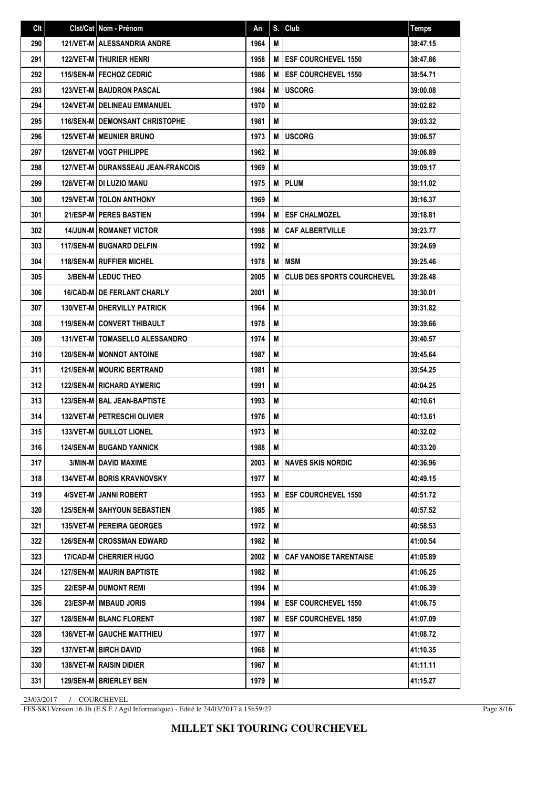| Clt | Clst/Cat   Nom - Prénom                 | An   | S. | Club                              | <b>Temps</b> |
|-----|-----------------------------------------|------|----|-----------------------------------|--------------|
| 290 | <b>121/VET-M   ALESSANDRIA ANDRE</b>    | 1964 | M  |                                   | 38:47.15     |
| 291 | <b>122/VET-M   THURIER HENRI</b>        | 1958 | М  | <b>ESF COURCHEVEL 1550</b>        | 38:47.86     |
| 292 | <b>115/SEN-M   FECHOZ CEDRIC</b>        | 1986 | M  | <b>ESF COURCHEVEL 1550</b>        | 38:54.71     |
| 293 | <b>123/VET-MIBAUDRON PASCAL</b>         | 1964 | M  | <b>USCORG</b>                     | 39:00.08     |
| 294 | <b>124/VET-M   DELINEAU EMMANUEL</b>    | 1970 | М  |                                   | 39:02.82     |
| 295 | <b>116/SEN-M I DEMONSANT CHRISTOPHE</b> | 1981 | М  |                                   | 39:03.32     |
| 296 | <b>125/VET-M   MEUNIER BRUNO</b>        | 1973 | M  | <b>USCORG</b>                     | 39:06.57     |
| 297 | <b>126/VET-M   VOGT PHILIPPE</b>        | 1962 | М  |                                   | 39:06.89     |
| 298 | 127/VET-M   DURANSSEAU JEAN-FRANCOIS    | 1969 | М  |                                   | 39:09.17     |
| 299 | 128/VET-M DI LUZIO MANU                 | 1975 | М  | <b>IPLUM</b>                      | 39:11.02     |
| 300 | <b>129/VET-MITOLON ANTHONY</b>          | 1969 | М  |                                   | 39:16.37     |
| 301 | 21/ESP-M PERES BASTIEN                  | 1994 | М  | <b>ESF CHALMOZEL</b>              | 39:18.81     |
| 302 | <b>14/JUN-M   ROMANET VICTOR</b>        | 1998 | M  | <b>CAF ALBERTVILLE</b>            | 39:23.77     |
| 303 | <b>117/SEN-M BUGNARD DELFIN</b>         | 1992 | M  |                                   | 39:24.69     |
| 304 | 118/SEN-M RUFFIER MICHEL                | 1978 | М  | <b>MSM</b>                        | 39:25.46     |
| 305 | <b>3/BEN-MILEDUC THEO</b>               | 2005 | M  | <b>CLUB DES SPORTS COURCHEVEL</b> | 39:28.48     |
| 306 | 16/CAD-M DE FERLANT CHARLY              | 2001 | M  |                                   | 39:30.01     |
| 307 | 130/VET-M   DHERVILLY PATRICK           | 1964 | M  |                                   | 39:31.82     |
| 308 | <b>119/SEN-M CONVERT THIBAULT</b>       | 1978 | M  |                                   | 39:39.66     |
| 309 | <b>131/VET-M   TOMASELLO ALESSANDRO</b> | 1974 | M  |                                   | 39:40.57     |
| 310 | <b>120/SEN-M MONNOT ANTOINE</b>         | 1987 | М  |                                   | 39:45.64     |
| 311 | 121/SEN-M MOURIC BERTRAND               | 1981 | М  |                                   | 39:54.25     |
| 312 | <b>122/SEN-M RICHARD AYMERIC</b>        | 1991 | M  |                                   | 40:04.25     |
| 313 | 123/SEN-M   BAL JEAN-BAPTISTE           | 1993 | M  |                                   | 40:10.61     |
| 314 | 132/VET-M PETRESCHI OLIVIER             | 1976 | М  |                                   | 40:13.61     |
| 315 | 133/VET-M GUILLOT LIONEL                | 1973 | M  |                                   | 40:32.02     |
| 316 | <b>124/SEN-M   BUGAND YANNICK</b>       | 1988 | M  |                                   | 40:33.20     |
| 317 | 3/MIN-M DAVID MAXIME                    | 2003 | M  | INAVES SKIS NORDIC                | 40:36.96     |
| 318 | <b>134/VET-M I BORIS KRAVNOVSKY</b>     | 1977 | M  |                                   | 40:49.15     |
| 319 | 4/SVET-M JANNI ROBERT                   | 1953 | M  | <b>ESF COURCHEVEL 1550</b>        | 40:51.72     |
| 320 | <b>125/SEN-M SAHYOUN SEBASTIEN</b>      | 1985 | M  |                                   | 40:57.52     |
| 321 | 135/VET-M   PEREIRA GEORGES             | 1972 | М  |                                   | 40:58.53     |
| 322 | <b>126/SEN-M CROSSMAN EDWARD</b>        | 1982 | M  |                                   | 41:00.54     |
| 323 | 17/CAD-M CHERRIER HUGO                  | 2002 | M  | <b>CAF VANOISE TARENTAISE</b>     | 41:05.89     |
| 324 | <b>127/SEN-M   MAURIN BAPTISTE</b>      | 1982 | M  |                                   | 41:06.25     |
| 325 | 22/ESP-M DUMONT REMI                    | 1994 | M  |                                   | 41:06.39     |
| 326 | 23/ESP-M   IMBAUD JORIS                 | 1994 | м  | <b>IESF COURCHEVEL 1550</b>       | 41:06.75     |
| 327 | 128/SEN-M   BLANC FLORENT               | 1987 | M  | <b>ESF COURCHEVEL 1850</b>        | 41:07.09     |
| 328 | <b>136/VET-M GAUCHE MATTHIEU</b>        | 1977 | M  |                                   | 41:08.72     |
| 329 | 137/VET-M BIRCH DAVID                   | 1968 | M  |                                   | 41:10.35     |
| 330 | <b>138/VET-M   RAISIN DIDIER</b>        | 1967 | М  |                                   | 41:11.11     |
| 331 | 129/SEN-M   BRIERLEY BEN                | 1979 | M  |                                   | 41:15.27     |

FFS-SKI Version 16.1h (E.S.F. / Agil Informatique) - Edité le 24/03/2017 à 15h59:27

Page 8/16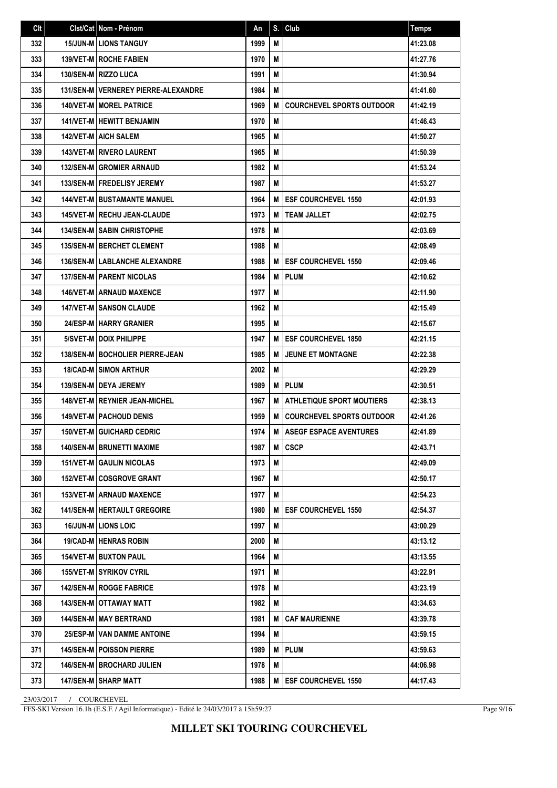| Clt | Clst/Cat Nom - Prénom                  | An   | S. | Club                             | <b>Temps</b> |
|-----|----------------------------------------|------|----|----------------------------------|--------------|
| 332 | <b>15/JUN-M LIONS TANGUY</b>           | 1999 | M  |                                  | 41:23.08     |
| 333 | <b>139/VET-M   ROCHE FABIEN</b>        | 1970 | M  |                                  | 41:27.76     |
| 334 | 130/SEN-M RIZZO LUCA                   | 1991 | M  |                                  | 41:30.94     |
| 335 | 131/SEN-M   VERNEREY PIERRE-ALEXANDRE  | 1984 | M  |                                  | 41:41.60     |
| 336 | <b>140/VET-M   MOREL PATRICE</b>       | 1969 | M  | <b>COURCHEVEL SPORTS OUTDOOR</b> | 41:42.19     |
| 337 | <b>141/VET-M   HEWITT BENJAMIN</b>     | 1970 | M  |                                  | 41:46.43     |
| 338 | <b>142/VET-M   AICH SALEM</b>          | 1965 | M  |                                  | 41:50.27     |
| 339 | <b>143/VET-M   RIVERO LAURENT</b>      | 1965 | M  |                                  | 41:50.39     |
| 340 | <b>132/SEN-M GROMIER ARNAUD</b>        | 1982 | M  |                                  | 41:53.24     |
| 341 | <b>133/SEN-MIFREDELISY JEREMY</b>      | 1987 | M  |                                  | 41:53.27     |
| 342 | <b>144/VET-M I BUSTAMANTE MANUEL</b>   | 1964 | M  | <b>ESF COURCHEVEL 1550</b>       | 42:01.93     |
| 343 | 145/VET-M RECHU JEAN-CLAUDE            | 1973 | M  | <b>TEAM JALLET</b>               | 42:02.75     |
| 344 | <b>134/SEN-M   SABIN CHRISTOPHE</b>    | 1978 | M  |                                  | 42:03.69     |
| 345 | 135/SEN-M BERCHET CLEMENT              | 1988 | М  |                                  | 42:08.49     |
| 346 | <b>136/SEN-M LABLANCHE ALEXANDRE</b>   | 1988 | M  | <b>ESF COURCHEVEL 1550</b>       | 42:09.46     |
| 347 | <b>137/SEN-M   PARENT NICOLAS</b>      | 1984 | M  | <b>PLUM</b>                      | 42:10.62     |
| 348 | <b>146/VET-M ARNAUD MAXENCE</b>        | 1977 | M  |                                  | 42:11.90     |
| 349 | <b>147/VET-M SANSON CLAUDE</b>         | 1962 | M  |                                  | 42:15.49     |
| 350 | 24/ESP-M HARRY GRANIER                 | 1995 | M  |                                  | 42:15.67     |
| 351 | 5/SVET-M   DOIX PHILIPPE               | 1947 | M  | <b>ESF COURCHEVEL 1850</b>       | 42:21.15     |
| 352 | 138/SEN-M   BOCHOLIER PIERRE-JEAN      | 1985 | M  | <b>JEUNE ET MONTAGNE</b>         | 42:22.38     |
| 353 | <b>18/CAD-M SIMON ARTHUR</b>           | 2002 | M  |                                  | 42:29.29     |
| 354 | 139/SEN-M DEYA JEREMY                  | 1989 | M  | <b>PLUM</b>                      | 42:30.51     |
| 355 | <b>148/VET-M   REYNIER JEAN-MICHEL</b> | 1967 | M  | <b>ATHLETIQUE SPORT MOUTIERS</b> | 42:38.13     |
| 356 | <b>149/VET-M   PACHOUD DENIS</b>       | 1959 | M  | <b>COURCHEVEL SPORTS OUTDOOR</b> | 42:41.26     |
| 357 | <b>150/VET-M GUICHARD CEDRIC</b>       | 1974 | M  | <b>ASEGF ESPACE AVENTURES</b>    | 42:41.89     |
| 358 | 140/SEN-M   BRUNETTI MAXIME            | 1987 | M  | CSCP                             | 42:43.71     |
| 359 | <b>151/VET-M GAULIN NICOLAS</b>        | 1973 | M  |                                  | 42:49.09     |
| 360 | <b>152/VET-M COSGROVE GRANT</b>        | 1967 | М  |                                  | 42:50.17     |
| 361 | <b>153/VET-MI ARNAUD MAXENCE</b>       | 1977 | M  |                                  | 42:54.23     |
| 362 | <b>141/SEN-M HERTAULT GREGOIRE</b>     | 1980 | M  | <b>ESF COURCHEVEL 1550</b>       | 42:54.37     |
| 363 | <b>16/JUN-M   LIONS LOIC</b>           | 1997 | M  |                                  | 43:00.29     |
| 364 | <b>19/CAD-M   HENRAS ROBIN</b>         | 2000 | M  |                                  | 43:13.12     |
| 365 | <b>154/VET-M BUXTON PAUL</b>           | 1964 | М  |                                  | 43:13.55     |
| 366 | <b>155/VET-M SYRIKOV CYRIL</b>         | 1971 | M  |                                  | 43:22.91     |
| 367 | <b>142/SEN-M   ROGGE FABRICE</b>       | 1978 | M  |                                  | 43:23.19     |
| 368 | 143/SEN-M   OTTAWAY MATT               | 1982 | M  |                                  | 43:34.63     |
| 369 | <b>144/SEN-M   MAY BERTRAND</b>        | 1981 | M  | <b>CAF MAURIENNE</b>             | 43:39.78     |
| 370 | 25/ESP-M   VAN DAMME ANTOINE           | 1994 | M  |                                  | 43:59.15     |
| 371 | <b>145/SEN-M   POISSON PIERRE</b>      | 1989 | M  | <b>IPLUM</b>                     | 43:59.63     |
| 372 | <b>146/SEN-M   BROCHARD JULIEN</b>     | 1978 | M  |                                  | 44:06.98     |
| 373 | 147/SEN-M SHARP MATT                   | 1988 | M  | <b>ESF COURCHEVEL 1550</b>       | 44:17.43     |

FFS-SKI Version 16.1h (E.S.F. / Agil Informatique) - Edité le 24/03/2017 à 15h59:27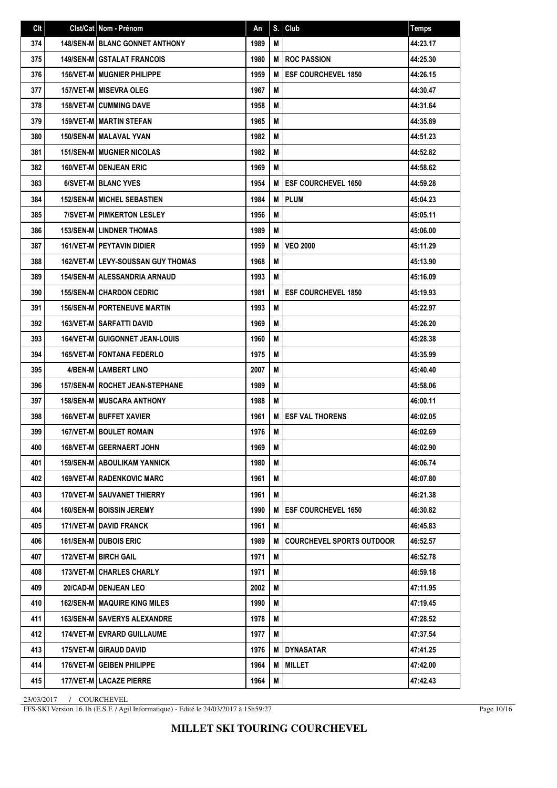| Clt | Clst/Cat Nom - Prénom                    | An   | S. | Club                             | <b>Temps</b> |
|-----|------------------------------------------|------|----|----------------------------------|--------------|
| 374 | <b>148/SEN-M   BLANC GONNET ANTHONY</b>  | 1989 | М  |                                  | 44:23.17     |
| 375 | <b>149/SEN-M GSTALAT FRANCOIS</b>        | 1980 | M  | <b>ROC PASSION</b>               | 44:25.30     |
| 376 | <b>156/VET-MIMUGNIER PHILIPPE</b>        | 1959 | M  | <b>ESF COURCHEVEL 1850</b>       | 44:26.15     |
| 377 | <b>157/VET-M MISEVRA OLEG</b>            | 1967 | M  |                                  | 44:30.47     |
| 378 | <b>158/VET-M CUMMING DAVE</b>            | 1958 | М  |                                  | 44:31.64     |
| 379 | <b>159/VET-M   MARTIN STEFAN</b>         | 1965 | М  |                                  | 44:35.89     |
| 380 | <b>150/SEN-M   MALAVAL YVAN</b>          | 1982 | М  |                                  | 44:51.23     |
| 381 | <b>151/SEN-M MUGNIER NICOLAS</b>         | 1982 | М  |                                  | 44:52.82     |
| 382 | 160/VET-M DENJEAN ERIC                   | 1969 | М  |                                  | 44:58.62     |
| 383 | 6/SVET-MIBLANC YVES                      | 1954 | M  | <b>ESF COURCHEVEL 1650</b>       | 44:59.28     |
| 384 | <b>152/SEN-M MICHEL SEBASTIEN</b>        | 1984 | M  | PLUM                             | 45:04.23     |
| 385 | 7/SVET-M   PIMKERTON LESLEY              | 1956 | М  |                                  | 45:05.11     |
| 386 | <b>153/SEN-M LINDNER THOMAS</b>          | 1989 | M  |                                  | 45:06.00     |
| 387 | <b>161/VET-M PEYTAVIN DIDIER</b>         | 1959 | М  | <b>VEO 2000</b>                  | 45:11.29     |
| 388 | <b>162/VET-MILEVY-SOUSSAN GUY THOMAS</b> | 1968 | M  |                                  | 45:13.90     |
| 389 | <b>154/SEN-M   ALESSANDRIA ARNAUD</b>    | 1993 | M  |                                  | 45:16.09     |
| 390 | <b>155/SEN-M CHARDON CEDRIC</b>          | 1981 | M  | <b>ESF COURCHEVEL 1850</b>       | 45:19.93     |
| 391 | <b>156/SEN-MIPORTENEUVE MARTIN</b>       | 1993 | М  |                                  | 45:22.97     |
| 392 | <b>163/VET-M   SARFATTI DAVID</b>        | 1969 | M  |                                  | 45:26.20     |
| 393 | <b>164/VET-M GUIGONNET JEAN-LOUIS</b>    | 1960 | M  |                                  | 45:28.38     |
| 394 | <b>165/VET-MIFONTANA FEDERLO</b>         | 1975 | М  |                                  | 45:35.99     |
| 395 | 4/BEN-M LAMBERT LINO                     | 2007 | М  |                                  | 45:40.40     |
| 396 | <b>157/SEN-M   ROCHET JEAN-STEPHANE</b>  | 1989 | М  |                                  | 45:58.06     |
| 397 | <b>158/SEN-M MUSCARA ANTHONY</b>         | 1988 | M  |                                  | 46:00.11     |
| 398 | <b>166/VET-M BUFFET XAVIER</b>           | 1961 | M  | <b>ESF VAL THORENS</b>           | 46:02.05     |
| 399 | 167/VET-M BOULET ROMAIN                  | 1976 | M  |                                  | 46:02.69     |
| 400 | 168/VET-M GEERNAERT JOHN                 | 1969 | M  |                                  | 46:02.90     |
| 401 | <b>159/SEN-M ABOULIKAM YANNICK</b>       | 1980 | M  |                                  | 46:06.74     |
| 402 | <b>169/VET-M   RADENKOVIC MARC</b>       | 1961 | M  |                                  | 46:07.80     |
| 403 | <b>170/VET-M SAUVANET THIERRY</b>        | 1961 | M  |                                  | 46:21.38     |
| 404 | 160/SEN-M   BOISSIN JEREMY               | 1990 | M  | <b>ESF COURCHEVEL 1650</b>       | 46:30.82     |
| 405 | <b>171/VET-M I DAVID FRANCK</b>          | 1961 | М  |                                  | 46:45.83     |
| 406 | 161/SEN-M   DUBOIS ERIC                  | 1989 | M  | <b>COURCHEVEL SPORTS OUTDOOR</b> | 46:52.57     |
| 407 | 172/VET-M   BIRCH GAIL                   | 1971 | М  |                                  | 46:52.78     |
| 408 | <b>173/VET-M   CHARLES CHARLY</b>        | 1971 | M  |                                  | 46:59.18     |
| 409 | 20/CAD-M DENJEAN LEO                     | 2002 | M  |                                  | 47:11.95     |
| 410 | <b>162/SEN-M   MAQUIRE KING MILES</b>    | 1990 | M  |                                  | 47:19.45     |
| 411 | <b>163/SEN-M SAVERYS ALEXANDRE</b>       | 1978 | M  |                                  | 47:28.52     |
| 412 | 174/VET-M EVRARD GUILLAUME               | 1977 | M  |                                  | 47:37.54     |
| 413 | 175/VET-M GIRAUD DAVID                   | 1976 | м  | DYNASATAR                        | 47:41.25     |
| 414 | 176/VET-M GEIBEN PHILIPPE                | 1964 | M  | <b>MILLET</b>                    | 47:42.00     |
| 415 | 177/VET-M LACAZE PIERRE                  | 1964 | M  |                                  | 47:42.43     |

FFS-SKI Version 16.1h (E.S.F. / Agil Informatique) - Edité le 24/03/2017 à 15h59:27

Page 10/16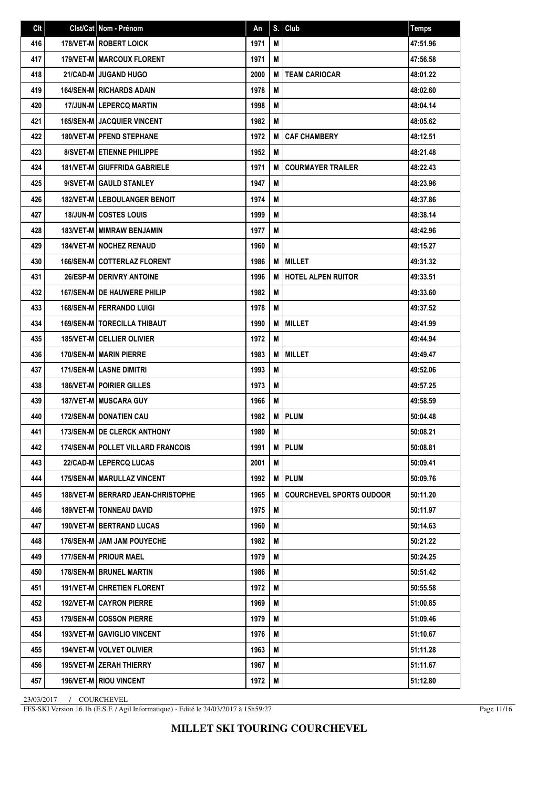| Clt | Clst/Cat Nom - Prénom                    | An   | S. | Club                            | <b>Temps</b> |
|-----|------------------------------------------|------|----|---------------------------------|--------------|
| 416 | 178/VET-M   ROBERT LOICK                 | 1971 | М  |                                 | 47:51.96     |
| 417 | <b>179/VET-M MARCOUX FLORENT</b>         | 1971 | M  |                                 | 47:56.58     |
| 418 | 21/CAD-M JUGAND HUGO                     | 2000 | M  | <b>TEAM CARIOCAR</b>            | 48:01.22     |
| 419 | <b>164/SEN-M   RICHARDS ADAIN</b>        | 1978 | M  |                                 | 48:02.60     |
| 420 | 17/JUN-M LEPERCQ MARTIN                  | 1998 | M  |                                 | 48:04.14     |
| 421 | <b>165/SEN-M I JACQUIER VINCENT</b>      | 1982 | М  |                                 | 48:05.62     |
| 422 | <b>180/VET-MIPFEND STEPHANE</b>          | 1972 | M  | <b>CAF CHAMBERY</b>             | 48:12.51     |
| 423 | <b>8/SVET-MI ETIENNE PHILIPPE</b>        | 1952 | M  |                                 | 48:21.48     |
| 424 | <b>181/VET-M GIUFFRIDA GABRIELE</b>      | 1971 | М  | <b>COURMAYER TRAILER</b>        | 48:22.43     |
| 425 | 9/SVET-M GAULD STANLEY                   | 1947 | M  |                                 | 48:23.96     |
| 426 | 182/VET-M LEBOULANGER BENOIT             | 1974 | M  |                                 | 48:37.86     |
| 427 | <b>18/JUN-M COSTES LOUIS</b>             | 1999 | M  |                                 | 48:38.14     |
| 428 | 183/VET-M   MIMRAW BENJAMIN              | 1977 | M  |                                 | 48:42.96     |
| 429 | <b>184/VET-M   NOCHEZ RENAUD</b>         | 1960 | М  |                                 | 49:15.27     |
| 430 | <b>166/SEN-MICOTTERLAZ FLORENT</b>       | 1986 | M  | <b>MILLET</b>                   | 49:31.32     |
| 431 | 26/ESP-M DERIVRY ANTOINE                 | 1996 | M  | HOTEL ALPEN RUITOR              | 49:33.51     |
| 432 | <b>167/SEN-MIDE HAUWERE PHILIP</b>       | 1982 | M  |                                 | 49:33.60     |
| 433 | <b>168/SEN-M   FERRANDO LUIGI</b>        | 1978 | M  |                                 | 49:37.52     |
| 434 | <b>169/SEN-M I TORECILLA THIBAUT</b>     | 1990 | M  | <b>MILLET</b>                   | 49:41.99     |
| 435 | <b>185/VET-M   CELLIER OLIVIER</b>       | 1972 | M  |                                 | 49:44.94     |
| 436 | 170/SEN-M   MARIN PIERRE                 | 1983 | М  | <b>MILLET</b>                   | 49:49.47     |
| 437 | 171/SEN-M LASNE DIMITRI                  | 1993 | M  |                                 | 49:52.06     |
| 438 | <b>186/VET-M   POIRIER GILLES</b>        | 1973 | M  |                                 | 49:57.25     |
| 439 | 187/VET-M   MUSCARA GUY                  | 1966 | M  |                                 | 49:58.59     |
| 440 | <b>172/SEN-M DONATIEN CAU</b>            | 1982 | M  | <b>PLUM</b>                     | 50:04.48     |
| 441 | 173/SEN-M   DE CLERCK ANTHONY            | 1980 | M  |                                 | 50:08.21     |
| 442 | 174/SEN-M   POLLET VILLARD FRANCOIS      | 1991 |    | <b>M</b> PLUM                   | 50:08.81     |
| 443 | <b>22/CAD-M   LEPERCQ LUCAS</b>          | 2001 | M  |                                 | 50:09.41     |
| 444 | 175/SEN-M   MARULLAZ VINCENT             | 1992 | M  | <b>PLUM</b>                     | 50:09.76     |
| 445 | <b>188/VET-M BERRARD JEAN-CHRISTOPHE</b> | 1965 | M  | <b>COURCHEVEL SPORTS OUDOOR</b> | 50:11.20     |
| 446 | <b>189/VET-M   TONNEAU DAVID</b>         | 1975 | M  |                                 | 50:11.97     |
| 447 | <b>190/VET-M   BERTRAND LUCAS</b>        | 1960 | M  |                                 | 50:14.63     |
| 448 | <b>176/SEN-M JAM JAM POUYECHE</b>        | 1982 | M  |                                 | 50:21.22     |
| 449 | 177/SEN-M   PRIOUR MAEL                  | 1979 | М  |                                 | 50:24.25     |
| 450 | 178/SEN-M   BRUNEL MARTIN                | 1986 | M  |                                 | 50:51.42     |
| 451 | 191/VET-M CHRETIEN FLORENT               | 1972 | M  |                                 | 50:55.58     |
| 452 | <b>192/VET-M CAYRON PIERRE</b>           | 1969 | M  |                                 | 51:00.85     |
| 453 | 179/SEN-M COSSON PIERRE                  | 1979 | М  |                                 | 51:09.46     |
| 454 | 193/VET-M GAVIGLIO VINCENT               | 1976 | M  |                                 | 51:10.67     |
| 455 | 194/VET-M   VOLVET OLIVIER               | 1963 | M  |                                 | 51:11.28     |
| 456 | 195/VET-M   ZERAH THIERRY                | 1967 | M  |                                 | 51:11.67     |
| 457 | 196/VET-M   RIOU VINCENT                 | 1972 | М  |                                 | 51:12.80     |

FFS-SKI Version 16.1h (E.S.F. / Agil Informatique) - Edité le 24/03/2017 à 15h59:27

Page 11/16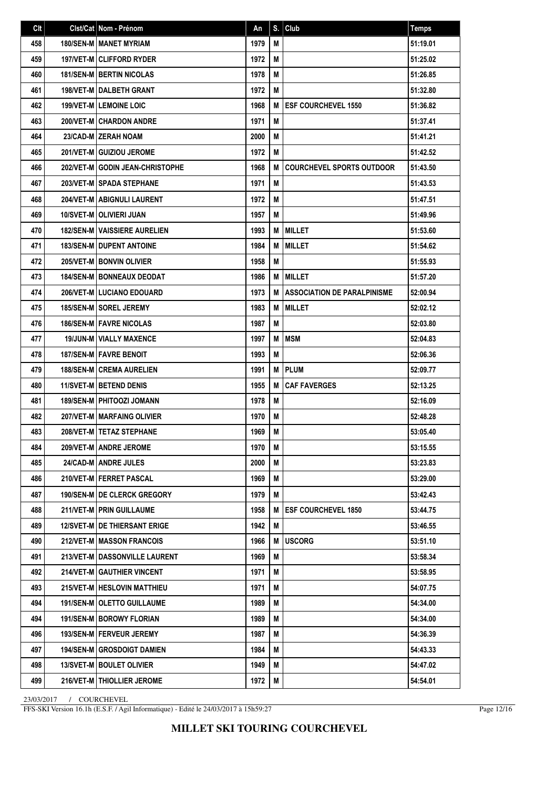| Clt | Clst/Cat Nom - Prénom               | An   | S. | Club                               | <b>Temps</b> |
|-----|-------------------------------------|------|----|------------------------------------|--------------|
| 458 | 180/SEN-M   MANET MYRIAM            | 1979 | M  |                                    | 51:19.01     |
| 459 | <b>197/VET-MICLIFFORD RYDER</b>     | 1972 | М  |                                    | 51:25.02     |
| 460 | <b>181/SEN-M BERTIN NICOLAS</b>     | 1978 | M  |                                    | 51:26.85     |
| 461 | 198/VET-M   DALBETH GRANT           | 1972 | М  |                                    | 51:32.80     |
| 462 | 199/VET-M LEMOINE LOIC              | 1968 | M  | <b>ESF COURCHEVEL 1550</b>         | 51:36.82     |
| 463 | 200/VET-M CHARDON ANDRE             | 1971 | M  |                                    | 51:37.41     |
| 464 | 23/CAD-M ZERAH NOAM                 | 2000 | М  |                                    | 51:41.21     |
| 465 | 201/VET-M GUIZIOU JEROME            | 1972 | M  |                                    | 51:42.52     |
| 466 | 202/VET-M GODIN JEAN-CHRISTOPHE     | 1968 | M  | <b>COURCHEVEL SPORTS OUTDOOR</b>   | 51:43.50     |
| 467 | 203/VET-M SPADA STEPHANE            | 1971 | M  |                                    | 51:43.53     |
| 468 | 204/VET-M ABIGNULI LAURENT          | 1972 | M  |                                    | 51:47.51     |
| 469 | 10/SVET-M   OLIVIERI JUAN           | 1957 | М  |                                    | 51:49.96     |
| 470 | <b>182/SEN-M VAISSIERE AURELIEN</b> | 1993 | M  | <b>MILLET</b>                      | 51:53.60     |
| 471 | 183/SEN-M DUPENT ANTOINE            | 1984 | M  | <b>MILLET</b>                      | 51:54.62     |
| 472 | 205/VET-M BONVIN OLIVIER            | 1958 | M  |                                    | 51:55.93     |
| 473 | <b>184/SEN-M   BONNEAUX DEODAT</b>  | 1986 | М  | <b>MILLET</b>                      | 51:57.20     |
| 474 | 206/VET-M   LUCIANO EDOUARD         | 1973 | M  | <b>ASSOCIATION DE PARALPINISME</b> | 52:00.94     |
| 475 | 185/SEN-M SOREL JEREMY              | 1983 | M  | <b>MILLET</b>                      | 52:02.12     |
| 476 | <b>186/SEN-M FAVRE NICOLAS</b>      | 1987 | M  |                                    | 52:03.80     |
| 477 | <b>19/JUN-M   VIALLY MAXENCE</b>    | 1997 | М  | <b>MSM</b>                         | 52:04.83     |
| 478 | <b>187/SEN-MIFAVRE BENOIT</b>       | 1993 | M  |                                    | 52:06.36     |
| 479 | <b>188/SEN-M CREMA AURELIEN</b>     | 1991 | М  | <b>PLUM</b>                        | 52:09.77     |
| 480 | <b>11/SVET-M BETEND DENIS</b>       | 1955 | M  | <b>CAF FAVERGES</b>                | 52:13.25     |
| 481 | <b>189/SEN-M   PHITOOZI JOMANN</b>  | 1978 | М  |                                    | 52:16.09     |
| 482 | 207/VET-M   MARFAING OLIVIER        | 1970 | М  |                                    | 52:48.28     |
| 483 | 208/VET-M   TETAZ STEPHANE          | 1969 | M  |                                    | 53:05.40     |
| 484 | 209/VET-M ANDRE JEROME              | 1970 | М  |                                    | 53:15.55     |
| 485 | 24/CAD-M ANDRE JULES                | 2000 | M  |                                    | 53:23.83     |
| 486 | 210/VET-M   FERRET PASCAL           | 1969 | M  |                                    | 53:29.00     |
| 487 | 190/SEN-M DE CLERCK GREGORY         | 1979 | M  |                                    | 53:42.43     |
| 488 | 211/VET-M PRIN GUILLAUME            | 1958 | M  | <b>ESF COURCHEVEL 1850</b>         | 53:44.75     |
| 489 | <b>12/SVET-M DE THIERSANT ERIGE</b> | 1942 | M  |                                    | 53:46.55     |
| 490 | <b>212/VET-MIMASSON FRANCOIS</b>    | 1966 | M  | <b>USCORG</b>                      | 53:51.10     |
| 491 | 213/VET-M   DASSONVILLE LAURENT     | 1969 | M  |                                    | 53:58.34     |
| 492 | 214/VET-M GAUTHIER VINCENT          | 1971 | M  |                                    | 53:58.95     |
| 493 | 215/VET-M   HESLOVIN MATTHIEU       | 1971 | M  |                                    | 54:07.75     |
| 494 | <b>191/SEN-M   OLETTO GUILLAUME</b> | 1989 | M  |                                    | 54:34.00     |
| 494 | 191/SEN-M BOROWY FLORIAN            | 1989 | М  |                                    | 54:34.00     |
| 496 | 193/SEN-M   FERVEUR JEREMY          | 1987 | М  |                                    | 54:36.39     |
| 497 | <b>194/SEN-M GROSDOIGT DAMIEN</b>   | 1984 | M  |                                    | 54:43.33     |
| 498 | <b>13/SVET-M   BOULET OLIVIER</b>   | 1949 | M  |                                    | 54:47.02     |
| 499 | 216/VET-M   THIOLLIER JEROME        | 1972 | M  |                                    | 54:54.01     |

FFS-SKI Version 16.1h (E.S.F. / Agil Informatique) - Edité le 24/03/2017 à 15h59:27

Page 12/16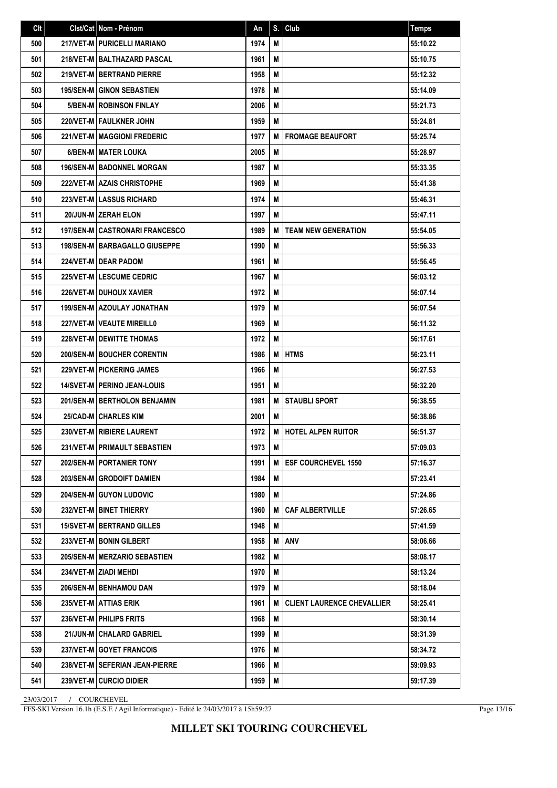| Clt | Clst/Cat   Nom - Prénom                | An   | S. | Club                              | <b>Temps</b> |
|-----|----------------------------------------|------|----|-----------------------------------|--------------|
| 500 | 217/VET-M   PURICELLI MARIANO          | 1974 | M  |                                   | 55:10.22     |
| 501 | 218/VET-M BALTHAZARD PASCAL            | 1961 | M  |                                   | 55:10.75     |
| 502 | 219/VET-M BERTRAND PIERRE              | 1958 | M  |                                   | 55:12.32     |
| 503 | <b>195/SEN-M GINON SEBASTIEN</b>       | 1978 | М  |                                   | 55:14.09     |
| 504 | <b>5/BEN-MIROBINSON FINLAY</b>         | 2006 | М  |                                   | 55:21.73     |
| 505 | 220/VET-M   FAULKNER JOHN              | 1959 | M  |                                   | 55:24.81     |
| 506 | 221/VET-M   MAGGIONI FREDERIC          | 1977 | М  | <b>FROMAGE BEAUFORT</b>           | 55:25.74     |
| 507 | 6/BEN-M   MATER LOUKA                  | 2005 | М  |                                   | 55:28.97     |
| 508 | <b>196/SEN-M   BADONNEL MORGAN</b>     | 1987 | М  |                                   | 55:33.35     |
| 509 | 222/VET-M AZAIS CHRISTOPHE             | 1969 | М  |                                   | 55:41.38     |
| 510 | <b>223/VET-MILASSUS RICHARD</b>        | 1974 | M  |                                   | 55:46.31     |
| 511 | 20/JUN-M ZERAH ELON                    | 1997 | M  |                                   | 55:47.11     |
| 512 | 197/SEN-M CASTRONARI FRANCESCO         | 1989 | M  | <b>TEAM NEW GENERATION</b>        | 55:54.05     |
| 513 | <b>198/SEN-M   BARBAGALLO GIUSEPPE</b> | 1990 | М  |                                   | 55:56.33     |
| 514 | 224/VET-M I DEAR PADOM                 | 1961 | M  |                                   | 55:56.45     |
| 515 | <b>225/VET-MILESCUME CEDRIC</b>        | 1967 | М  |                                   | 56:03.12     |
| 516 | <b>226/VET-M I DUHOUX XAVIER</b>       | 1972 | М  |                                   | 56:07.14     |
| 517 | <b>199/SEN-M AZOULAY JONATHAN</b>      | 1979 | М  |                                   | 56:07.54     |
| 518 | 227/VET-M   VEAUTE MIREILL0            | 1969 | М  |                                   | 56:11.32     |
| 519 | <b>228/VET-M   DEWITTE THOMAS</b>      | 1972 | М  |                                   | 56:17.61     |
| 520 | <b>200/SEN-MIBOUCHER CORENTIN</b>      | 1986 | М  | <b>HTMS</b>                       | 56:23.11     |
| 521 | <b>229/VET-M   PICKERING JAMES</b>     | 1966 | М  |                                   | 56:27.53     |
| 522 | <b>14/SVET-M   PERINO JEAN-LOUIS</b>   | 1951 | М  |                                   | 56:32.20     |
| 523 | <b>201/SEN-M   BERTHOLON BENJAMIN</b>  | 1981 | M  | <b>STAUBLI SPORT</b>              | 56:38.55     |
| 524 | <b>25/CAD-M   CHARLES KIM</b>          | 2001 | М  |                                   | 56:38.86     |
| 525 | 230/VET-M   RIBIERE LAURENT            | 1972 | M  | <b>HOTEL ALPEN RUITOR</b>         | 56:51.37     |
| 526 | 231/VET-M PRIMAULT SEBASTIEN           | 1973 | М  |                                   | 57:09.03     |
| 527 | 202/SEN-M   PORTANIER TONY             | 1991 | M  | <b>ESF COURCHEVEL 1550</b>        | 57:16.37     |
| 528 | 203/SEN-M GRODOIFT DAMIEN              | 1984 | М  |                                   | 57:23.41     |
| 529 | 204/SEN-M GUYON LUDOVIC                | 1980 | M  |                                   | 57:24.86     |
| 530 | 232/VET-M BINET THIERRY                | 1960 | M  | <b>CAF ALBERTVILLE</b>            | 57:26.65     |
| 531 | <b>15/SVET-M   BERTRAND GILLES</b>     | 1948 | M  |                                   | 57:41.59     |
| 532 | 233/VET-M   BONIN GILBERT              | 1958 | M  | <b>ANV</b>                        | 58:06.66     |
| 533 | <b>205/SEN-M   MERZARIO SEBASTIEN</b>  | 1982 | М  |                                   | 58:08.17     |
| 534 | 234/VET-M   ZIADI MEHDI                | 1970 | M  |                                   | 58:13.24     |
| 535 | 206/SEN-M   BENHAMOU DAN               | 1979 | M  |                                   | 58:18.04     |
| 536 | 235/VET-M ATTIAS ERIK                  | 1961 | M  | <b>CLIENT LAURENCE CHEVALLIER</b> | 58:25.41     |
| 537 | 236/VET-M   PHILIPS FRITS              | 1968 | М  |                                   | 58:30.14     |
| 538 | 21/JUN-M   CHALARD GABRIEL             | 1999 | M  |                                   | 58:31.39     |
| 539 | 237/VET-M GOYET FRANCOIS               | 1976 | M  |                                   | 58:34.72     |
| 540 | 238/VET-M   SEFERIAN JEAN-PIERRE       | 1966 | M  |                                   | 59:09.93     |
| 541 | 239/VET-M CURCIO DIDIER                | 1959 | M  |                                   | 59:17.39     |

FFS-SKI Version 16.1h (E.S.F. / Agil Informatique) - Edité le 24/03/2017 à 15h59:27

Page 13/16

**MILLET SKI TOURING COURCHEVEL**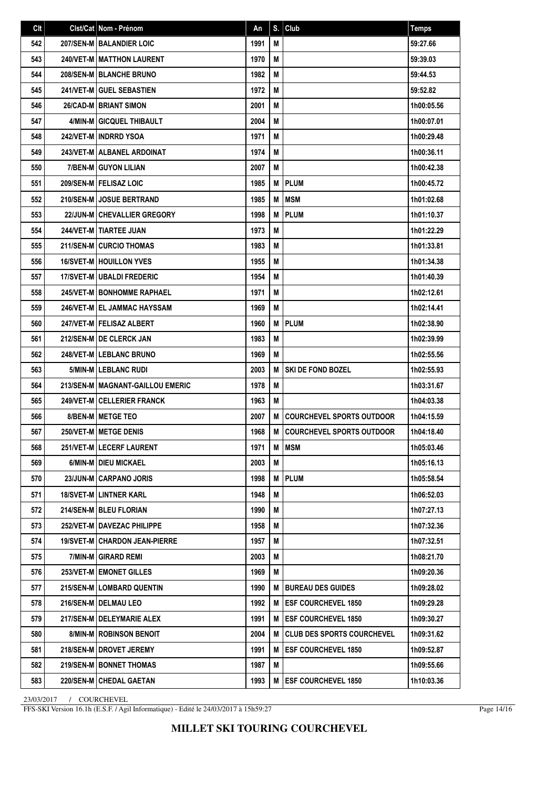| Clt | Clst/Cat Nom - Prénom                  | An   | S. | Club                              | Temps      |
|-----|----------------------------------------|------|----|-----------------------------------|------------|
| 542 | 207/SEN-M BALANDIER LOIC               | 1991 | M  |                                   | 59:27.66   |
| 543 | <b>240/VET-M   MATTHON LAURENT</b>     | 1970 | М  |                                   | 59:39.03   |
| 544 | <b>208/SEN-M BLANCHE BRUNO</b>         | 1982 | M  |                                   | 59:44.53   |
| 545 | 241/VET-M GUEL SEBASTIEN               | 1972 | M  |                                   | 59:52.82   |
| 546 | <b>26/CAD-M BRIANT SIMON</b>           | 2001 | M  |                                   | 1h00:05.56 |
| 547 | 4/MIN-M GICQUEL THIBAULT               | 2004 | М  |                                   | 1h00:07.01 |
| 548 | 242/VET-M INDRRD YSOA                  | 1971 | M  |                                   | 1h00:29.48 |
| 549 | 243/VET-M ALBANEL ARDOINAT             | 1974 | M  |                                   | 1h00:36.11 |
| 550 | 7/BEN-M GUYON LILIAN                   | 2007 | M  |                                   | 1h00:42.38 |
| 551 | 209/SEN-M   FELISAZ LOIC               | 1985 | M  | <b>PLUM</b>                       | 1h00:45.72 |
| 552 | 210/SEN-M I JOSUE BERTRAND             | 1985 | M  | <b>MSM</b>                        | 1h01:02.68 |
| 553 | <b>22/JUN-M CHEVALLIER GREGORY</b>     | 1998 | M  | <b>PLUM</b>                       | 1h01:10.37 |
| 554 | <b>244/VET-M   TIARTEE JUAN</b>        | 1973 | M  |                                   | 1h01:22.29 |
| 555 | <b>211/SEN-M CURCIO THOMAS</b>         | 1983 | М  |                                   | 1h01:33.81 |
| 556 | <b>16/SVET-M   HOUILLON YVES</b>       | 1955 | М  |                                   | 1h01:34.38 |
| 557 | <b>17/SVET-M   UBALDI FREDERIC</b>     | 1954 | M  |                                   | 1h01:40.39 |
| 558 | <b>245/VET-M   BONHOMME RAPHAEL</b>    | 1971 | M  |                                   | 1h02:12.61 |
| 559 | 246/VET-M EL JAMMAC HAYSSAM            | 1969 | M  |                                   | 1h02:14.41 |
| 560 | 247/VET-M   FELISAZ ALBERT             | 1960 | M  | <b>PLUM</b>                       | 1h02:38.90 |
| 561 | 212/SEN-M DE CLERCK JAN                | 1983 | M  |                                   | 1h02:39.99 |
| 562 | <b>248/VET-MILEBLANC BRUNO</b>         | 1969 | M  |                                   | 1h02:55.56 |
| 563 | 5/MIN-M LEBLANC RUDI                   | 2003 | M  | SKI DE FOND BOZEL                 | 1h02:55.93 |
| 564 | 213/SEN-M   MAGNANT-GAILLOU EMERIC     | 1978 | M  |                                   | 1h03:31.67 |
| 565 | 249/VET-M   CELLERIER FRANCK           | 1963 | М  |                                   | 1h04:03.38 |
| 566 | 8/BEN-M METGE TEO                      | 2007 | M  | <b>COURCHEVEL SPORTS OUTDOOR</b>  | 1h04:15.59 |
| 567 | 250/VET-M METGE DENIS                  | 1968 | M  | <b>COURCHEVEL SPORTS OUTDOOR</b>  | 1h04:18.40 |
| 568 | 251/VET-M   LECERF LAURENT             | 1971 | M  | <b>IMSM</b>                       | 1h05:03.46 |
| 569 | 6/MIN-M   DIEU MICKAEL                 | 2003 | M  |                                   | 1h05:16.13 |
| 570 | 23/JUN-M CARPANO JORIS                 | 1998 | M  | <b>PLUM</b>                       | 1h05:58.54 |
| 571 | 18/SVET-M LINTNER KARL                 | 1948 | М  |                                   | 1h06:52.03 |
| 572 | 214/SEN-M   BLEU FLORIAN               | 1990 | М  |                                   | 1h07:27.13 |
| 573 | 252/VET-M   DAVEZAC PHILIPPE           | 1958 | M  |                                   | 1h07:32.36 |
| 574 | <b>19/SVET-M   CHARDON JEAN-PIERRE</b> | 1957 | М  |                                   | 1h07:32.51 |
| 575 | 7/MIN-M GIRARD REMI                    | 2003 | M  |                                   | 1h08:21.70 |
| 576 | 253/VET-M EMONET GILLES                | 1969 | М  |                                   | 1h09:20.36 |
| 577 | 215/SEN-M   LOMBARD QUENTIN            | 1990 | M  | <b>BUREAU DES GUIDES</b>          | 1h09:28.02 |
| 578 | 216/SEN-M   DELMAU LEO                 | 1992 | M  | <b>ESF COURCHEVEL 1850</b>        | 1h09:29.28 |
| 579 | 217/SEN-M   DELEYMARIE ALEX            | 1991 | M  | <b>ESF COURCHEVEL 1850</b>        | 1h09:30.27 |
| 580 | 8/MIN-M   ROBINSON BENOIT              | 2004 | M  | <b>CLUB DES SPORTS COURCHEVEL</b> | 1h09:31.62 |
| 581 | 218/SEN-M   DROVET JEREMY              | 1991 | M  | <b>ESF COURCHEVEL 1850</b>        | 1h09:52.87 |
| 582 | <b>219/SEN-M   BONNET THOMAS</b>       | 1987 | M  |                                   | 1h09:55.66 |
| 583 | 220/SEN-M CHEDAL GAETAN                | 1993 | M  | <b>ESF COURCHEVEL 1850</b>        | 1h10:03.36 |

FFS-SKI Version 16.1h (E.S.F. / Agil Informatique) - Edité le 24/03/2017 à 15h59:27

Page 14/16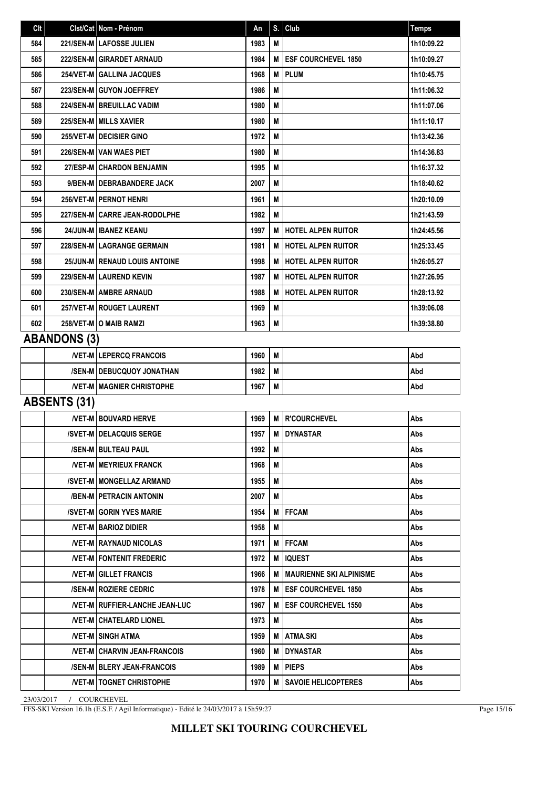| Clt |                     | Clst/Cat Nom - Prénom                   | An   | S. | Club                          | <b>Temps</b> |
|-----|---------------------|-----------------------------------------|------|----|-------------------------------|--------------|
| 584 |                     | 221/SEN-M LAFOSSE JULIEN                | 1983 | M  |                               | 1h10:09.22   |
| 585 |                     | 222/SEN-M GIRARDET ARNAUD               | 1984 | M  | <b>ESF COURCHEVEL 1850</b>    | 1h10:09.27   |
| 586 |                     | 254/VET-M GALLINA JACQUES               | 1968 | M  | <b>PLUM</b>                   | 1h10:45.75   |
| 587 |                     | 223/SEN-M GUYON JOEFFREY                | 1986 | M  |                               | 1h11:06.32   |
| 588 |                     | <b>224/SEN-M   BREUILLAC VADIM</b>      | 1980 | M  |                               | 1h11:07.06   |
| 589 |                     | 225/SEN-M MILLS XAVIER                  | 1980 | M  |                               | 1h11:10.17   |
| 590 |                     | 255/VET-M DECISIER GINO                 | 1972 | M  |                               | 1h13:42.36   |
| 591 |                     | 226/SEN-M VAN WAES PIET                 | 1980 | M  |                               | 1h14:36.83   |
| 592 |                     | 27/ESP-M   CHARDON BENJAMIN             | 1995 | M  |                               | 1h16:37.32   |
| 593 |                     | 9/BEN-M   DEBRABANDERE JACK             | 2007 | M  |                               | 1h18:40.62   |
| 594 |                     | 256/VET-M   PERNOT HENRI                | 1961 | M  |                               | 1h20:10.09   |
| 595 |                     | 227/SEN-M CARRE JEAN-RODOLPHE           | 1982 | M  |                               | 1h21:43.59   |
| 596 |                     | 24/JUN-M   IBANEZ KEANU                 | 1997 | M  | <b>HOTEL ALPEN RUITOR</b>     | 1h24:45.56   |
| 597 |                     | 228/SEN-M LAGRANGE GERMAIN              | 1981 | M  | <b>HOTEL ALPEN RUITOR</b>     | 1h25:33.45   |
| 598 |                     | 25/JUN-M   RENAUD LOUIS ANTOINE         | 1998 | M  | <b>HOTEL ALPEN RUITOR</b>     | 1h26:05.27   |
| 599 |                     | 229/SEN-M LAUREND KEVIN                 | 1987 | M  | <b>HOTEL ALPEN RUITOR</b>     | 1h27:26.95   |
| 600 |                     | 230/SEN-M AMBRE ARNAUD                  | 1988 | M  | <b>HOTEL ALPEN RUITOR</b>     | 1h28:13.92   |
| 601 |                     | 257/VET-M   ROUGET LAURENT              | 1969 | M  |                               | 1h39:06.08   |
| 602 |                     | 258/VET-M O MAIB RAMZI                  | 1963 | M  |                               | 1h39:38.80   |
|     | <b>ABANDONS (3)</b> |                                         |      |    |                               |              |
|     |                     | <b>/VET-M LEPERCQ FRANCOIS</b>          | 1960 | M  |                               | Abd          |
|     |                     | /SEN-M   DEBUCQUOY JONATHAN             | 1982 | M  |                               | Abd          |
|     |                     | <b>NET-M MAGNIER CHRISTOPHE</b>         | 1967 | M  |                               | Abd          |
|     | <b>ABSENTS (31)</b> |                                         |      |    |                               |              |
|     |                     | <b>NET-M BOUVARD HERVE</b>              | 1969 | M  | <b>R'COURCHEVEL</b>           | Abs          |
|     |                     | <b>/SVET-M DELACQUIS SERGE</b>          | 1957 | М  | <b>DYNASTAR</b>               | Abs          |
|     |                     | /SEN-M BULTEAU PAUL                     | 1992 | M  |                               | Abs          |
|     |                     | <b>/VET-M   MEYRIEUX FRANCK</b>         | 1968 | М  |                               | Abs          |
|     |                     | /SVET-M   MONGELLAZ ARMAND              | 1955 | M  |                               | Abs          |
|     |                     | /BEN-M   PETRACIN ANTONIN               | 2007 | M  |                               | Abs          |
|     |                     | /SVET-M GORIN YVES MARIE                | 1954 | M  | <b>IFFCAM</b>                 | Abs          |
|     |                     | <b>NET-M BARIOZ DIDIER</b>              | 1958 | M  |                               | Abs          |
|     |                     | <b>/VET-MIRAYNAUD NICOLAS</b>           | 1971 |    | <b>MIFFCAM</b>                | Abs          |
|     |                     | <b>NET-M FONTENIT FREDERIC</b>          | 1972 | м  | <b>IQUEST</b>                 | Abs          |
|     |                     | <b>/VET-M GILLET FRANCIS</b>            | 1966 |    | M   MAURIENNE SKI ALPINISME   | Abs          |
|     |                     | <b>/SEN-M   ROZIERE CEDRIC</b>          | 1978 |    | M <b>IESF COURCHEVEL 1850</b> | Abs          |
|     |                     | <b>/VET-M   RUFFIER-LANCHE JEAN-LUC</b> | 1967 | М  | <b>ESF COURCHEVEL 1550</b>    | Abs          |
|     |                     | <b>NET-M CHATELARD LIONEL</b>           | 1973 | M  |                               | Abs          |
|     |                     | /VET-M SINGH ATMA                       | 1959 |    | M ATMA.SKI                    | Abs          |
|     |                     | /VET-M CHARVIN JEAN-FRANCOIS            | 1960 | м  | <b>IDYNASTAR</b>              | Abs          |
|     |                     | <b>/SEN-MIBLERY JEAN-FRANCOIS</b>       | 1989 | M  | <b>IPIEPS</b>                 | Abs          |
|     |                     | <b>NET-MITOGNET CHRISTOPHE</b>          | 1970 | м  | <b>SAVOIE HELICOPTERES</b>    | Abs          |

FFS-SKI Version 16.1h (E.S.F. / Agil Informatique) - Edité le 24/03/2017 à 15h59:27

Page 15/16